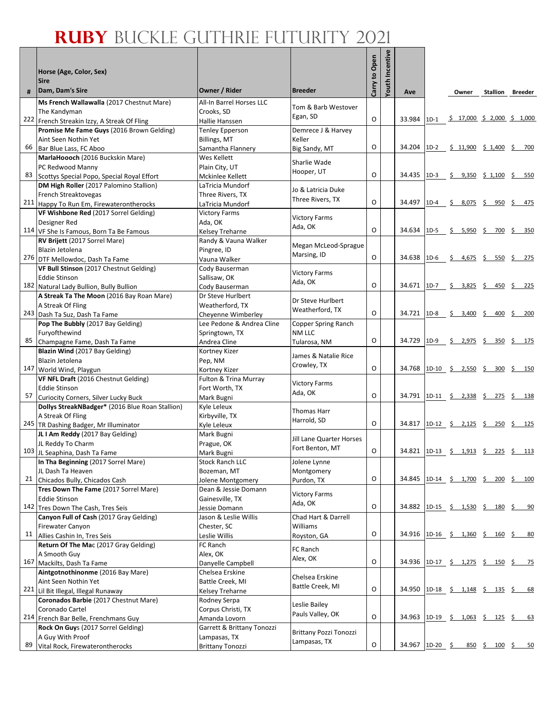|     | Horse (Age, Color, Sex)                                          |                                        |                               | Carry to Open | Youth Incentive |                 |        |                                            |     |                         |
|-----|------------------------------------------------------------------|----------------------------------------|-------------------------------|---------------|-----------------|-----------------|--------|--------------------------------------------|-----|-------------------------|
|     | <b>Sire</b>                                                      |                                        |                               |               |                 |                 |        |                                            |     |                         |
| #   | Dam, Dam's Sire                                                  | Owner / Rider                          | <b>Breeder</b>                |               |                 | Ave             |        | Owner                                      |     | <b>Stallion Breeder</b> |
|     | Ms French Wallawalla (2017 Chestnut Mare)                        | All-In Barrel Horses LLC               | Tom & Barb Westover           |               |                 |                 |        |                                            |     |                         |
|     | The Kandyman<br>222 French Streakin Izzy, A Streak Of Fling      | Crooks, SD<br>Hallie Hanssen           | Egan, SD                      | O             |                 | 33.984          | $1D-1$ | <u>\$17,000 \$2,000 \$1,000</u>            |     |                         |
|     | Promise Me Fame Guys (2016 Brown Gelding)                        | Tenley Epperson                        | Demrece J & Harvey            |               |                 |                 |        |                                            |     |                         |
|     | Aint Seen Nothin Yet                                             | <b>Billings, MT</b>                    | Keller                        |               |                 |                 |        |                                            |     |                         |
| 66  | Bar Blue Lass, FC Aboo                                           | Samantha Flannery                      | Big Sandy, MT                 | O             |                 |                 |        | 34.204 1D-2 \$ 11,900 \$ 1,400 \$ 700      |     |                         |
|     | MarlaHoooch (2016 Buckskin Mare)                                 | Wes Kellett                            | Sharlie Wade                  |               |                 |                 |        |                                            |     |                         |
|     | PC Redwood Manny                                                 | Plain City, UT                         | Hooper, UT                    |               |                 |                 |        |                                            |     |                         |
| 83  | Scottys Special Popo, Special Royal Effort                       | Mckinlee Kellett                       |                               | O             |                 | 34.435          |        | 1D-3 \$ 9,350 \$ 1,100 \$ 550              |     |                         |
|     | DM High Roller (2017 Palomino Stallion)                          | LaTricia Mundorf                       | Jo & Latricia Duke            |               |                 |                 |        |                                            |     |                         |
|     | French Streaktovegas<br>211 Happy To Run Em, Firewaterontherocks | Three Rivers, TX<br>LaTricia Mundorf   | Three Rivers, TX              | O             |                 |                 |        | 34.497 1D-4 \$ 8,075 \$ 950 \$ 475         |     |                         |
|     | VF Wishbone Red (2017 Sorrel Gelding)                            | <b>Victory Farms</b>                   |                               |               |                 |                 |        |                                            |     |                         |
|     | Designer Red                                                     | Ada, OK                                | <b>Victory Farms</b>          |               |                 |                 |        |                                            |     |                         |
|     | 114 VF She Is Famous, Born Ta Be Famous                          | Kelsey Treharne                        | Ada, OK                       | O             |                 | 34.634          | $1D-5$ | \$ 5,950 \$ 700 \$ 350                     |     |                         |
|     | RV Brijett (2017 Sorrel Mare)                                    | Randy & Vauna Walker                   | Megan McLeod-Sprague          |               |                 |                 |        |                                            |     |                         |
|     | Blazin Jetolena                                                  | Pingree, ID                            | Marsing, ID                   |               |                 |                 |        |                                            |     |                         |
|     | 276 DTF Mellowdoc, Dash Ta Fame                                  | Vauna Walker                           |                               | O             |                 | 34.638          | $1D-6$ | Ŝ.<br>$4,675$ \$                           | 550 | -\$<br>275              |
|     | VF Bull Stinson (2017 Chestnut Gelding)                          | Cody Bauserman                         | <b>Victory Farms</b>          |               |                 |                 |        |                                            |     |                         |
|     | <b>Eddie Stinson</b><br>182 Natural Lady Bullion, Bully Bullion  | Sallisaw, OK                           | Ada, OK                       | O             |                 |                 |        | 34.671 1D-7 \$ 3,825 \$ 450 \$ 225         |     |                         |
|     | A Streak Ta The Moon (2016 Bay Roan Mare)                        | Cody Bauserman<br>Dr Steve Hurlbert    |                               |               |                 |                 |        |                                            |     |                         |
|     | A Streak Of Fling                                                | Weatherford. TX                        | Dr Steve Hurlbert             |               |                 |                 |        |                                            |     |                         |
|     | 243 Dash Ta Suz, Dash Ta Fame                                    | Cheyenne Wimberley                     | Weatherford, TX               | O             |                 | 34.721 1D-8     |        | $$3,400 \t$ 400 \t$ 200$                   |     |                         |
|     | Pop The Bubbly (2017 Bay Gelding)                                | Lee Pedone & Andrea Cline              | Copper Spring Ranch           |               |                 |                 |        |                                            |     |                         |
|     | Furyofthewind                                                    | Springtown, TX                         | <b>NM LLC</b>                 |               |                 |                 |        |                                            |     |                         |
| 85  | Champagne Fame, Dash Ta Fame                                     | Andrea Cline                           | Tularosa, NM                  | O             |                 | 34.729 1D-9     |        | <u>\$2,975 \$350 \$175</u>                 |     |                         |
|     | Blazin Wind (2017 Bay Gelding)                                   | Kortney Kizer                          | James & Natalie Rice          |               |                 |                 |        |                                            |     |                         |
|     | Blazin Jetolena<br>147 World Wind, Playgun                       | Pep, NM                                | Crowley, TX                   | O             |                 | 34.768          |        | 1D-10 \$ 2,550 \$ 300 \$ 150               |     |                         |
|     | VF NFL Draft (2016 Chestnut Gelding)                             | Kortney Kizer<br>Fulton & Trina Murray |                               |               |                 |                 |        |                                            |     |                         |
|     | <b>Eddie Stinson</b>                                             | Fort Worth, TX                         | <b>Victory Farms</b>          |               |                 |                 |        |                                            |     |                         |
| 57  | Curiocity Corners, Silver Lucky Buck                             | Mark Bugni                             | Ada, OK                       | O             |                 |                 |        | 34.791 1D-11 \$ 2,338 \$ 275 \$ 138        |     |                         |
|     | Dollys StreakNBadger* (2016 Blue Roan Stallion)                  | Kyle Leleux                            | <b>Thomas Harr</b>            |               |                 |                 |        |                                            |     |                         |
|     | A Streak Of Fling                                                | Kirbyville, TX                         | Harrold, SD                   |               |                 |                 |        |                                            |     |                         |
|     | 245 TR Dashing Badger, Mr Illuminator                            | Kyle Leleux                            |                               | O             |                 |                 |        | 34.817 1D-12 <u>\$ 2,125 \$ 250 \$ 125</u> |     |                         |
|     | JL I Am Reddy (2017 Bay Gelding)                                 | Mark Bugni                             | Jill Lane Quarter Horses      |               |                 |                 |        |                                            |     |                         |
|     | JL Reddy To Charm<br>103 JL Seaphina, Dash Ta Fame               | Prague, OK<br>Mark Bugni               | Fort Benton, MT               | O             |                 |                 |        | 34.821 1D-13 \$ 1,913 \$ 225 \$ 113        |     |                         |
|     | In Tha Beginning (2017 Sorrel Mare)                              | <b>Stock Ranch LLC</b>                 | Jolene Lynne                  |               |                 |                 |        |                                            |     |                         |
|     | JL Dash Ta Heaven                                                | Bozeman, MT                            | Montgomery                    |               |                 |                 |        |                                            |     |                         |
|     | 21 Chicados Bully, Chicados Cash                                 | Jolene Montgomery                      | Purdon, TX                    | O             |                 |                 |        | 34.845 1D-14 \$ 1,700 \$ 200 \$ 100        |     |                         |
|     | Tres Down The Fame (2017 Sorrel Mare)                            | Dean & Jessie Domann                   | <b>Victory Farms</b>          |               |                 |                 |        |                                            |     |                         |
|     | <b>Eddie Stinson</b>                                             | Gainesville, TX                        | Ada, OK                       |               |                 |                 |        |                                            |     |                         |
|     | 142 Tres Down The Cash, Tres Seis                                | Jessie Domann                          |                               | O             |                 | 34.882          |        | 1D-15 <u>\$ 1,530 \$ 180 \$ 90</u>         |     |                         |
|     | Canyon Full of Cash (2017 Gray Gelding)                          | Jason & Leslie Willis<br>Chester, SC   | Chad Hart & Darrell           |               |                 |                 |        |                                            |     |                         |
| 11  | Firewater Canyon<br>Allies Cashin In, Tres Seis                  | Leslie Willis                          | Williams<br>Royston, GA       | O             |                 |                 |        | 34.916 1D-16 \$ 1,360 \$ 160 \$ 80         |     |                         |
|     | Return Of The Mac (2017 Gray Gelding)                            | FC Ranch                               |                               |               |                 |                 |        |                                            |     |                         |
|     | A Smooth Guy                                                     | Alex, OK                               | FC Ranch                      |               |                 |                 |        |                                            |     |                         |
| 167 | Mackilts, Dash Ta Fame                                           | Danyelle Campbell                      | Alex, OK                      | O             |                 |                 |        | 34.936 1D-17 <u>\$ 1,275 \$ 150 \$ 75</u>  |     |                         |
|     | Aintgotnothinonme (2016 Bay Mare)                                | Chelsea Erskine                        | Chelsea Erskine               |               |                 |                 |        |                                            |     |                         |
|     | Aint Seen Nothin Yet                                             | Battle Creek, MI                       | Battle Creek, MI              |               |                 |                 |        |                                            |     |                         |
|     | 221 Lil Bit Illegal, Illegal Runaway                             | Kelsey Treharne                        |                               | O             |                 |                 |        | 34.950 1D-18 \$ 1,148 \$ 135 \$ 68         |     |                         |
|     | Coronados Barbie (2017 Chestnut Mare)<br>Coronado Cartel         | Rodney Serpa<br>Corpus Christi, TX     | Leslie Bailey                 |               |                 |                 |        |                                            |     |                         |
|     | 214 French Bar Belle, Frenchmans Guy                             | Amanda Lovorn                          | Pauls Valley, OK              | O             |                 |                 |        | 34.963 1D-19 \$ 1,063 \$ 125 \$ 63         |     |                         |
|     | Rock On Guys (2017 Sorrel Gelding)                               | Garrett & Brittany Tonozzi             |                               |               |                 |                 |        |                                            |     |                         |
|     | A Guy With Proof                                                 | Lampasas, TX                           | <b>Brittany Pozzi Tonozzi</b> |               |                 |                 |        |                                            |     |                         |
| 89  | Vital Rock, Firewaterontherocks                                  | <b>Brittany Tonozzi</b>                | Lampasas, TX                  | O             |                 | 34.967 1D-20 \$ |        |                                            |     |                         |
|     |                                                                  |                                        |                               |               |                 |                 |        |                                            |     |                         |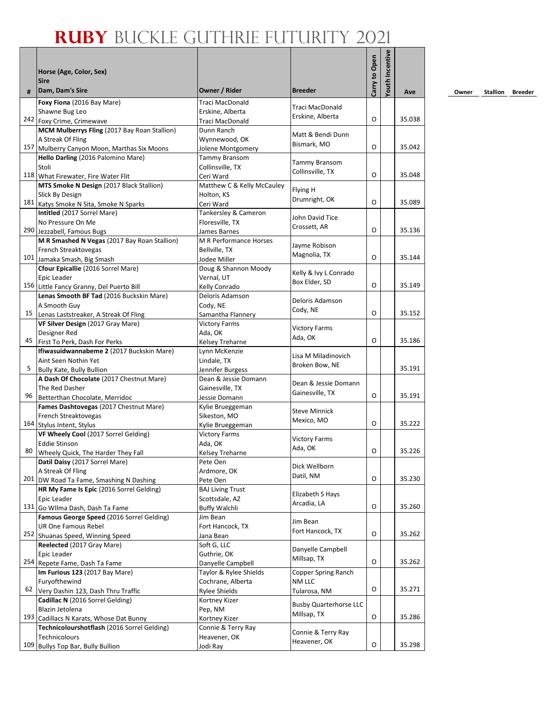| #   | Horse (Age, Color, Sex)<br><b>Sire</b><br>Dam, Dam's Sire                  | Owner / Rider                               | <b>Breeder</b>                | Carry to Open | Youth Incentive | Ave    |
|-----|----------------------------------------------------------------------------|---------------------------------------------|-------------------------------|---------------|-----------------|--------|
|     | Foxy Fiona (2016 Bay Mare)                                                 | Traci MacDonald                             |                               |               |                 |        |
|     | Shawne Bug Leo                                                             | Erskine, Alberta                            | Traci MacDonald               |               |                 |        |
|     | 242 Foxy Crime, Crimewave                                                  | Traci MacDonald                             | Erskine, Alberta              | O             |                 | 35.038 |
|     | MCM Mulberrys Fling (2017 Bay Roan Stallion)                               | Dunn Ranch                                  |                               |               |                 |        |
|     | A Streak Of Fling                                                          | Wynnewood, OK                               | Matt & Bendi Dunn             |               |                 |        |
| 157 | Mulberry Canyon Moon, Marthas Six Moons                                    | Jolene Montgomery                           | Bismark, MO                   | O             |                 | 35.042 |
|     | Hello Darling (2016 Palomino Mare)                                         | Tammy Bransom                               | Tammy Bransom                 |               |                 |        |
|     | Stoli                                                                      | Collinsville, TX                            | Collinsville, TX              |               |                 |        |
|     | 118 What Firewater, Fire Water Flit                                        | Ceri Ward                                   |                               | O             |                 | 35.048 |
|     | MTS Smoke N Design (2017 Black Stallion)                                   | Matthew C & Kelly McCauley                  | Flying H                      |               |                 |        |
|     | Slick By Design<br>181 Katys Smoke N Sita, Smoke N Sparks                  | Holton, KS<br>Ceri Ward                     | Drumright, OK                 | O             |                 | 35.089 |
|     | Intitled (2017 Sorrel Mare)                                                | Tankersley & Cameron                        |                               |               |                 |        |
|     | No Pressure On Me                                                          | Floresville, TX                             | John David Tice               |               |                 |        |
|     | 290 Jezzabell, Famous Bugs                                                 | James Barnes                                | Crossett, AR                  | O             |                 | 35.136 |
|     | M R Smashed N Vegas (2017 Bay Roan Stallion)                               | M R Performance Horses                      |                               |               |                 |        |
|     | French Streaktovegas                                                       | Bellville, TX                               | Jayme Robison                 |               |                 |        |
|     | 101 Jamaka Smash, Big Smash                                                | Jodee Miller                                | Magnolia, TX                  | O             |                 | 35.144 |
|     | Cfour Epicallie (2016 Sorrel Mare)                                         | Doug & Shannon Moody                        | Kelly & Ivy L Conrado         |               |                 |        |
|     | Epic Leader                                                                | Vernal, UT                                  | Box Elder, SD                 |               |                 |        |
|     | 156 Little Fancy Granny, Del Puerto Bill                                   | Kelly Conrado                               |                               | O             |                 | 35.149 |
|     | Lenas Smooth BF Tad (2016 Buckskin Mare)                                   | Deloris Adamson                             | Deloris Adamson               |               |                 |        |
|     | A Smooth Guy                                                               | Cody, NE                                    | Cody, NE                      |               |                 |        |
| 15  | Lenas Laststreaker, A Streak Of Fling                                      | Samantha Flannery                           |                               | O             |                 | 35.152 |
|     | VF Silver Design (2017 Gray Mare)                                          | <b>Victory Farms</b>                        | <b>Victory Farms</b>          |               |                 |        |
| 45  | Designer Red                                                               | Ada, OK                                     | Ada, OK                       | O             |                 | 35.186 |
|     | First To Perk, Dash For Perks<br>Ifiwasuidwannabeme 2 (2017 Buckskin Mare) | Kelsey Treharne<br>Lynn McKenzie            |                               |               |                 |        |
|     | Aint Seen Nothin Yet                                                       | Lindale, TX                                 | Lisa M Miladinovich           |               |                 |        |
| 5   | Bully Kate, Bully Bullion                                                  | Jennifer Burgess                            | Broken Bow, NE                |               |                 | 35.191 |
|     | A Dash Of Chocolate (2017 Chestnut Mare)                                   | Dean & Jessie Domann                        |                               |               |                 |        |
|     | The Red Dasher                                                             | Gainesville, TX                             | Dean & Jessie Domann          |               |                 |        |
| 96  | Betterthan Chocolate, Merridoc                                             | Jessie Domann                               | Gainesville, TX               | O             |                 | 35.191 |
|     | Fames Dashtovegas (2017 Chestnut Mare)                                     | Kylie Brueggeman                            | <b>Steve Minnick</b>          |               |                 |        |
|     | French Streaktovegas                                                       | Sikeston, MO                                | Mexico, MO                    |               |                 |        |
|     | 164 Stylus Intent, Stylus                                                  | Kylie Brueggeman                            |                               | O             |                 | 35.222 |
|     | VF Wheely Cool (2017 Sorrel Gelding)                                       | <b>Victory Farms</b>                        | <b>Victory Farms</b>          |               |                 |        |
| 80  | <b>Eddie Stinson</b>                                                       | Ada, OK                                     | Ada, OK                       | O             |                 | 35.226 |
|     | Wheely Quick, The Harder They Fall<br>Datil Daisy (2017 Sorrel Mare)       | Kelsey Treharne<br>Pete Oen                 |                               |               |                 |        |
|     | A Streak Of Fling                                                          | Ardmore, OK                                 | Dick Wellborn                 |               |                 |        |
|     | 201 DW Road Ta Fame, Smashing N Dashing                                    | Pete Oen                                    | Datil, NM                     | O             |                 | 35.230 |
|     | HR My Fame Is Epic (2016 Sorrel Gelding)                                   | <b>BAJ Living Trust</b>                     |                               |               |                 |        |
|     | Epic Leader                                                                | Scottsdale, AZ                              | Elizabeth S Hays              |               |                 |        |
|     | 131 Go Wilma Dash, Dash Ta Fame                                            | <b>Buffy Walchli</b>                        | Arcadia, LA                   | O             |                 | 35.260 |
|     | Famous George Speed (2016 Sorrel Gelding)                                  | Jim Bean                                    | Jim Bean                      |               |                 |        |
|     | UR One Famous Rebel                                                        | Fort Hancock, TX                            | Fort Hancock, TX              |               |                 |        |
|     | 252 Shuanas Speed, Winning Speed                                           | Jana Bean                                   |                               | O             |                 | 35.262 |
|     | Reelected (2017 Gray Mare)                                                 | Soft G, LLC                                 | Danyelle Campbell             |               |                 |        |
|     | Epic Leader                                                                | Guthrie, OK                                 | Millsap, TX                   | O             |                 | 35.262 |
|     | 254 Repete Fame, Dash Ta Fame                                              | Danyelle Campbell<br>Taylor & Rylee Shields | Copper Spring Ranch           |               |                 |        |
|     | Im Furious 123 (2017 Bay Mare)<br>Furyofthewind                            | Cochrane, Alberta                           | NM LLC                        |               |                 |        |
| 62  | Very Dashin 123, Dash Thru Traffic                                         | <b>Rylee Shields</b>                        | Tularosa, NM                  | O             |                 | 35.271 |
|     | Cadillac N (2016 Sorrel Gelding)                                           | Kortney Kizer                               |                               |               |                 |        |
|     | Blazin Jetolena                                                            | Pep, NM                                     | <b>Busby Quarterhorse LLC</b> |               |                 |        |
| 193 | Cadillacs N Karats, Whose Dat Bunny                                        | Kortney Kizer                               | Millsap, TX                   | O             |                 | 35.286 |
|     | Technicolourshotflash (2016 Sorrel Gelding)                                | Connie & Terry Ray                          |                               |               |                 |        |
|     | Technicolours                                                              | Heavener, OK                                | Connie & Terry Ray            |               |                 |        |
| 109 | Bullys Top Bar, Bully Bullion                                              | Jodi Ray                                    | Heavener, OK                  | O             |                 | 35.298 |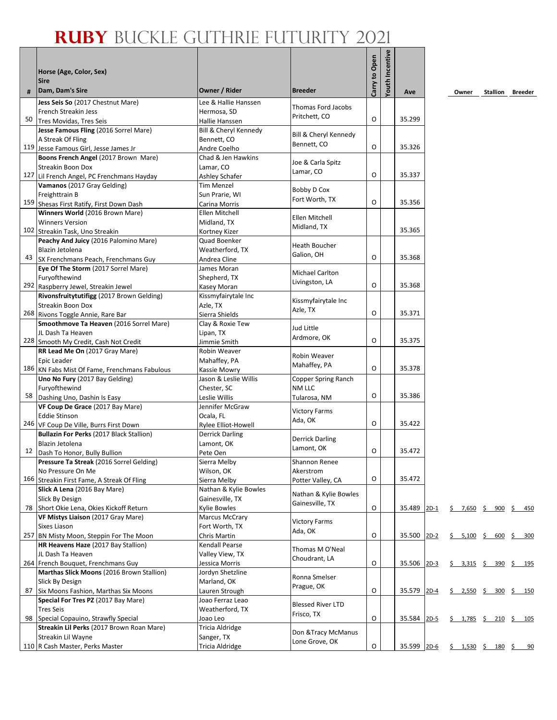| #  | Horse (Age, Color, Sex)<br><b>Sire</b><br>Dam, Dam's Sire                      | Owner / Rider                           | <b>Breeder</b>                         | Carry to Open | <b>Youth Incentive</b> | Ave         |        | Owner                                                            | Stallion | Breeder |
|----|--------------------------------------------------------------------------------|-----------------------------------------|----------------------------------------|---------------|------------------------|-------------|--------|------------------------------------------------------------------|----------|---------|
|    |                                                                                |                                         |                                        |               |                        |             |        |                                                                  |          |         |
|    | Jess Seis So (2017 Chestnut Mare)<br>French Streakin Jess                      | Lee & Hallie Hanssen                    | Thomas Ford Jacobs                     |               |                        |             |        |                                                                  |          |         |
| 50 | Tres Movidas, Tres Seis                                                        | Hermosa, SD                             | Pritchett, CO                          | O             |                        | 35.299      |        |                                                                  |          |         |
|    | Jesse Famous Fling (2016 Sorrel Mare)                                          | Hallie Hanssen<br>Bill & Cheryl Kennedy |                                        |               |                        |             |        |                                                                  |          |         |
|    | A Streak Of Fling                                                              | Bennett, CO                             | Bill & Cheryl Kennedy                  |               |                        |             |        |                                                                  |          |         |
|    | 119 Jesse Famous Girl, Jesse James Jr                                          | Andre Coelho                            | Bennett, CO                            | O             |                        | 35.326      |        |                                                                  |          |         |
|    | Boons French Angel (2017 Brown Mare)                                           | Chad & Jen Hawkins                      |                                        |               |                        |             |        |                                                                  |          |         |
|    | Streakin Boon Dox                                                              | Lamar, CO                               | Joe & Carla Spitz                      |               |                        |             |        |                                                                  |          |         |
|    | 127 Lil French Angel, PC Frenchmans Hayday                                     | Ashley Schafer                          | Lamar, CO                              | O             |                        | 35.337      |        |                                                                  |          |         |
|    | Vamanos (2017 Gray Gelding)                                                    | Tim Menzel                              | Bobby D Cox                            |               |                        |             |        |                                                                  |          |         |
|    | Freighttrain B                                                                 | Sun Prarie, WI                          | Fort Worth, TX                         |               |                        |             |        |                                                                  |          |         |
|    | 159 Shesas First Ratify, First Down Dash                                       | Carina Morris                           |                                        | O             |                        | 35.356      |        |                                                                  |          |         |
|    | Winners World (2016 Brown Mare)                                                | Ellen Mitchell                          | Ellen Mitchell                         |               |                        |             |        |                                                                  |          |         |
|    | <b>Winners Version</b>                                                         | Midland, TX                             | Midland, TX                            |               |                        |             |        |                                                                  |          |         |
|    | 102 Streakin Task, Uno Streakin                                                | Kortney Kizer                           |                                        |               |                        | 35.365      |        |                                                                  |          |         |
|    | Peachy And Juicy (2016 Palomino Mare)                                          | Quad Boenker                            | Heath Boucher                          |               |                        |             |        |                                                                  |          |         |
|    | Blazin Jetolena                                                                | Weatherford, TX                         | Galion, OH                             | O             |                        | 35.368      |        |                                                                  |          |         |
|    | 43 SX Frenchmans Peach, Frenchmans Guy                                         | Andrea Cline                            |                                        |               |                        |             |        |                                                                  |          |         |
|    | Eye Of The Storm (2017 Sorrel Mare)                                            | James Moran                             | <b>Michael Carlton</b>                 |               |                        |             |        |                                                                  |          |         |
|    | Furyofthewind<br>292 Raspberry Jewel, Streakin Jewel                           | Shepherd, TX<br>Kasey Moran             | Livingston, LA                         | O             |                        | 35.368      |        |                                                                  |          |         |
|    | Rivonsfruitytutifigg (2017 Brown Gelding)                                      | Kissmyfairytale Inc                     |                                        |               |                        |             |        |                                                                  |          |         |
|    | Streakin Boon Dox                                                              | Azle, TX                                | Kissmyfairytale Inc                    |               |                        |             |        |                                                                  |          |         |
|    | 268 Rivons Toggle Annie, Rare Bar                                              | Sierra Shields                          | Azle, TX                               | O             |                        | 35.371      |        |                                                                  |          |         |
|    | Smoothmove Ta Heaven (2016 Sorrel Mare)                                        | Clay & Roxie Tew                        |                                        |               |                        |             |        |                                                                  |          |         |
|    | JL Dash Ta Heaven                                                              | Lipan, TX                               | Jud Little                             |               |                        |             |        |                                                                  |          |         |
|    | 228 Smooth My Credit, Cash Not Credit                                          | Jimmie Smith                            | Ardmore, OK                            | O             |                        | 35.375      |        |                                                                  |          |         |
|    | RR Lead Me On (2017 Gray Mare)                                                 | Robin Weaver                            | Robin Weaver                           |               |                        |             |        |                                                                  |          |         |
|    | Epic Leader                                                                    | Mahaffey, PA                            | Mahaffey, PA                           |               |                        |             |        |                                                                  |          |         |
|    | 186 KN Fabs Mist Of Fame, Frenchmans Fabulous                                  | Kassie Mowry                            |                                        | O             |                        | 35.378      |        |                                                                  |          |         |
|    | Uno No Fury (2017 Bay Gelding)                                                 | Jason & Leslie Willis                   | Copper Spring Ranch                    |               |                        |             |        |                                                                  |          |         |
|    | Furyofthewind                                                                  | Chester, SC                             | NM LLC                                 |               |                        |             |        |                                                                  |          |         |
|    | 58 Dashing Uno, Dashin Is Easy                                                 | Leslie Willis                           | Tularosa, NM                           | 0             |                        | 35.386      |        |                                                                  |          |         |
|    | VF Coup De Grace (2017 Bay Mare)                                               | Jennifer McGraw                         | <b>Victory Farms</b>                   |               |                        |             |        |                                                                  |          |         |
|    | <b>Eddie Stinson</b><br>246 VF Coup De Ville, Burrs First Down                 | Ocala, FL<br>Rylee Elliot-Howell        | Ada, OK                                | O             |                        | 35.422      |        |                                                                  |          |         |
|    | Bullazin For Perks (2017 Black Stallion)                                       | <b>Derrick Darling</b>                  |                                        |               |                        |             |        |                                                                  |          |         |
|    | Blazin Jetolena                                                                | Lamont, OK                              | <b>Derrick Darling</b>                 |               |                        |             |        |                                                                  |          |         |
|    | 12 Dash To Honor, Bully Bullion                                                | Pete Oen                                | Lamont, OK                             | O             |                        | 35.472      |        |                                                                  |          |         |
|    | Pressure Ta Streak (2016 Sorrel Gelding)                                       | Sierra Melby                            | Shannon Renee                          |               |                        |             |        |                                                                  |          |         |
|    | No Pressure On Me                                                              | Wilson, OK                              | Akerstrom                              |               |                        |             |        |                                                                  |          |         |
|    | 166 Streakin First Fame, A Streak Of Fling                                     | Sierra Melby                            | Potter Valley, CA                      | O             |                        | 35.472      |        |                                                                  |          |         |
|    | Slick A Lena (2016 Bay Mare)                                                   | Nathan & Kylie Bowles                   | Nathan & Kylie Bowles                  |               |                        |             |        |                                                                  |          |         |
|    | Slick By Design                                                                | Gainesville, TX                         | Gainesville, TX                        |               |                        |             |        |                                                                  |          |         |
|    | 78 Short Okie Lena, Okies Kickoff Return                                       | <b>Kylie Bowles</b>                     |                                        | O             |                        | 35.489      | $2D-1$ | $\frac{5}{2}$ 7,650 $\frac{5}{2}$ 900 $\frac{5}{2}$ 450          |          |         |
|    | VF Mistys Liaison (2017 Gray Mare)                                             | <b>Marcus McCrary</b>                   | <b>Victory Farms</b>                   |               |                        |             |        |                                                                  |          |         |
|    | Sixes Liason                                                                   | Fort Worth, TX                          | Ada, OK                                |               |                        |             |        |                                                                  |          |         |
|    | 257 BN Misty Moon, Steppin For The Moon<br>HR Heavens Haze (2017 Bay Stallion) | Chris Martin<br>Kendall Pearse          |                                        | O             |                        | 35.500      | $2D-2$ | $\frac{2}{5}$ 5,100 \$ 600                                       |          | \$300   |
|    | JL Dash Ta Heaven                                                              | Valley View, TX                         | Thomas M O'Neal                        |               |                        |             |        |                                                                  |          |         |
|    | 264 French Bouquet, Frenchmans Guy                                             | Jessica Morris                          | Choudrant, LA                          | O             |                        | 35.506      | $2D-3$ | $\frac{5}{2}$ 3,315 $\frac{5}{2}$ 390 $\frac{5}{2}$ 195          |          |         |
|    | Marthas Slick Moons (2016 Brown Stallion)                                      | Jordyn Shetzline                        |                                        |               |                        |             |        |                                                                  |          |         |
|    | Slick By Design                                                                | Marland, OK                             | Ronna Smelser                          |               |                        |             |        |                                                                  |          |         |
|    | 87 Six Moons Fashion, Marthas Six Moons                                        | Lauren Strough                          | Prague, OK                             | O             |                        | 35.579      | $2D-4$ | $\frac{2}{5}$ 2,550 $\frac{2}{5}$ 300 $\frac{2}{5}$ 150          |          |         |
|    | Special For Tres PZ (2017 Bay Mare)                                            | Joao Ferraz Leao                        |                                        |               |                        |             |        |                                                                  |          |         |
|    | <b>Tres Seis</b>                                                               | Weatherford, TX                         | <b>Blessed River LTD</b><br>Frisco, TX |               |                        |             |        |                                                                  |          |         |
|    | 98 Special Copauino, Strawfly Special                                          | Joao Leo                                |                                        | O             |                        | 35.584      | $2D-5$ | $\underline{\S}$ 1,785 $\underline{\S}$ 210 $\underline{\S}$ 105 |          |         |
|    | Streakin Lil Perks (2017 Brown Roan Mare)                                      | Tricia Aldridge                         | Don & Tracy McManus                    |               |                        |             |        |                                                                  |          |         |
|    | Streakin Lil Wayne                                                             | Sanger, TX                              | Lone Grove, OK                         |               |                        |             |        |                                                                  |          |         |
|    | 110 R Cash Master, Perks Master                                                | Tricia Aldridge                         |                                        | $\mathsf O$   |                        | 35.599 2D-6 |        | $\frac{2}{5}$ 1,530 $\frac{2}{5}$ 180 $\frac{2}{5}$ 90           |          |         |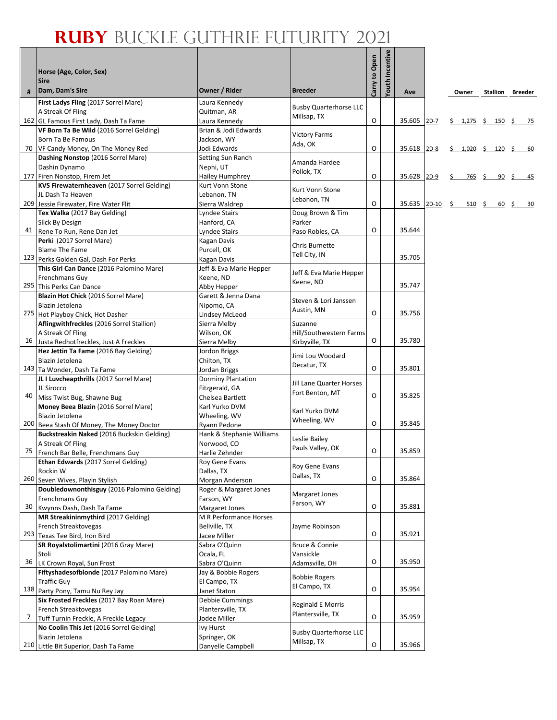٦

|     | Horse (Age, Color, Sex)<br><b>Sire</b>                                            |                                          |                                      | Carry to Open | Youth Incentive |        |            |                          |    |                               |
|-----|-----------------------------------------------------------------------------------|------------------------------------------|--------------------------------------|---------------|-----------------|--------|------------|--------------------------|----|-------------------------------|
| #   | Dam, Dam's Sire                                                                   | Owner / Rider                            | <b>Breeder</b>                       |               |                 | Ave    |            | Owner                    |    | <b>Stallion Breeder</b>       |
|     | First Ladys Fling (2017 Sorrel Mare)                                              | Laura Kennedy                            | <b>Busby Quarterhorse LLC</b>        |               |                 |        |            |                          |    |                               |
|     | A Streak Of Fling                                                                 | Quitman, AR                              | Millsap, TX                          |               |                 |        |            |                          |    |                               |
|     | 162 GL Famous First Lady, Dash Ta Fame                                            | Laura Kennedy                            |                                      | O             |                 | 35.605 | $2D-7$     | \$ 1,275 \$ 150 \$ 75    |    |                               |
|     | VF Born Ta Be Wild (2016 Sorrel Gelding)<br>Born Ta Be Famous                     | Brian & Jodi Edwards<br>Jackson, WY      | <b>Victory Farms</b>                 |               |                 |        |            |                          |    |                               |
|     | 70 VF Candy Money, On The Money Red                                               | Jodi Edwards                             | Ada, OK                              | O             |                 | 35.618 | $2D-8$     | $$1,020 \t$ 120 \t$$     |    | - 60                          |
|     | Dashing Nonstop (2016 Sorrel Mare)                                                | Setting Sun Ranch                        |                                      |               |                 |        |            |                          |    |                               |
|     | Dashin Dynamo                                                                     | Nephi, UT                                | Amanda Hardee                        |               |                 |        |            |                          |    |                               |
|     | 177 Firen Nonstop, Firem Jet                                                      | Hailey Humphrey                          | Pollok, TX                           | O             |                 | 35.628 | $2D-9$     | $765 \frac{5}{5}$<br>\$. | 90 | -S<br><u>45</u>               |
|     | KVS Firewaternheaven (2017 Sorrel Gelding)                                        | Kurt Vonn Stone                          | Kurt Vonn Stone                      |               |                 |        |            |                          |    |                               |
|     | JL Dash Ta Heaven                                                                 | Lebanon, TN                              | Lebanon, TN                          |               |                 |        |            |                          |    |                               |
|     | 209 Jessie Firewater, Fire Water Flit                                             | Sierra Waldrep                           |                                      | $\circ$       |                 | 35.635 | $2D-10$ \$ | $510 \quad $$            |    | $\frac{60}{5}$ $\frac{5}{20}$ |
|     | Tex Walka (2017 Bay Gelding)                                                      | Lyndee Stairs                            | Doug Brown & Tim                     |               |                 |        |            |                          |    |                               |
|     | Slick By Design<br>41 Rene To Run, Rene Dan Jet                                   | Hanford, CA                              | Parker<br>Paso Robles, CA            | O             |                 | 35.644 |            |                          |    |                               |
|     | Perki (2017 Sorrel Mare)                                                          | Lyndee Stairs<br>Kagan Davis             |                                      |               |                 |        |            |                          |    |                               |
|     | <b>Blame The Fame</b>                                                             | Purcell, OK                              | Chris Burnette                       |               |                 |        |            |                          |    |                               |
|     | 123 Perks Golden Gal, Dash For Perks                                              | Kagan Davis                              | Tell City, IN                        |               |                 | 35.705 |            |                          |    |                               |
|     | This Girl Can Dance (2016 Palomino Mare)                                          | Jeff & Eva Marie Hepper                  |                                      |               |                 |        |            |                          |    |                               |
|     | Frenchmans Guy                                                                    | Keene, ND                                | Jeff & Eva Marie Hepper<br>Keene, ND |               |                 |        |            |                          |    |                               |
| 295 | This Perks Can Dance                                                              | Abby Hepper                              |                                      |               |                 | 35.747 |            |                          |    |                               |
|     | Blazin Hot Chick (2016 Sorrel Mare)                                               | Garett & Jenna Dana                      | Steven & Lori Janssen                |               |                 |        |            |                          |    |                               |
|     | Blazin Jetolena                                                                   | Nipomo, CA                               | Austin, MN                           | $\circ$       |                 |        |            |                          |    |                               |
|     | 275 Hot Playboy Chick, Hot Dasher                                                 | Lindsey McLeod                           |                                      |               |                 | 35.756 |            |                          |    |                               |
|     | Aflingwithfreckles (2016 Sorrel Stallion)<br>A Streak Of Fling                    | Sierra Melby<br>Wilson, OK               | Suzanne<br>Hill/Southwestern Farms   |               |                 |        |            |                          |    |                               |
| 16  | Justa Redhotfreckles, Just A Freckles                                             | Sierra Melby                             | Kirbyville, TX                       | $\circ$       |                 | 35.780 |            |                          |    |                               |
|     | Hez Jettin Ta Fame (2016 Bay Gelding)                                             | Jordon Briggs                            |                                      |               |                 |        |            |                          |    |                               |
|     | Blazin Jetolena                                                                   | Chilton, TX                              | Jimi Lou Woodard                     |               |                 |        |            |                          |    |                               |
|     | 143 Ta Wonder, Dash Ta Fame                                                       | Jordan Briggs                            | Decatur, TX                          | $\circ$       |                 | 35.801 |            |                          |    |                               |
|     | JL I Luvcheapthrills (2017 Sorrel Mare)                                           | Dorminy Plantation                       | Jill Lane Quarter Horses             |               |                 |        |            |                          |    |                               |
|     | JL Sirocco                                                                        | Fitzgerald, GA                           | Fort Benton, MT                      |               |                 |        |            |                          |    |                               |
| 40  | Miss Twist Bug, Shawne Bug                                                        | Chelsea Bartlett                         |                                      | $\circ$       |                 | 35.825 |            |                          |    |                               |
|     | Money Beea Blazin (2016 Sorrel Mare)                                              | Karl Yurko DVM                           | Karl Yurko DVM                       |               |                 |        |            |                          |    |                               |
|     | Blazin Jetolena<br>200 Beea Stash Of Money, The Money Doctor                      | Wheeling, WV<br>Ryann Pedone             | Wheeling, WV                         | $\circ$       |                 | 35.845 |            |                          |    |                               |
|     | Buckstreakin Naked (2016 Buckskin Gelding)                                        | Hank & Stephanie Williams                |                                      |               |                 |        |            |                          |    |                               |
|     | A Streak Of Fling                                                                 | Norwood, CO                              | Leslie Bailey                        |               |                 |        |            |                          |    |                               |
| 75  | French Bar Belle, Frenchmans Guy                                                  | Harlie Zehnder                           | Pauls Valley, OK                     | O             |                 | 35.859 |            |                          |    |                               |
|     | Ethan Edwards (2017 Sorrel Gelding)                                               | Roy Gene Evans                           | Roy Gene Evans                       |               |                 |        |            |                          |    |                               |
|     | Rockin W                                                                          | Dallas, TX                               | Dallas, TX                           |               |                 |        |            |                          |    |                               |
| 260 | Seven Wives, Playin Stylish                                                       | Morgan Anderson                          |                                      | O             |                 | 35.864 |            |                          |    |                               |
|     | Doubledownonthisguy (2016 Palomino Gelding)                                       | Roger & Margaret Jones                   | Margaret Jones                       |               |                 |        |            |                          |    |                               |
| 30  | Frenchmans Guy<br>Kwynns Dash, Dash Ta Fame                                       | Farson, WY                               | Farson, WY                           | О             |                 | 35.881 |            |                          |    |                               |
|     | MR Streakininmythird (2017 Gelding)                                               | Margaret Jones<br>M R Performance Horses |                                      |               |                 |        |            |                          |    |                               |
|     | French Streaktovegas                                                              | Bellville, TX                            | Jayme Robinson                       |               |                 |        |            |                          |    |                               |
|     | 293 Texas Tee Bird, Iron Bird                                                     | Jacee Miller                             |                                      | O             |                 | 35.921 |            |                          |    |                               |
|     | SR Royalstolimartini (2016 Gray Mare)                                             | Sabra O'Quinn                            | Bruce & Connie                       |               |                 |        |            |                          |    |                               |
|     | Stoli                                                                             | Ocala, FL                                | Vansickle                            |               |                 |        |            |                          |    |                               |
| 36  | LK Crown Royal, Sun Frost                                                         | Sabra O'Quinn                            | Adamsville, OH                       | O             |                 | 35.950 |            |                          |    |                               |
|     | Fiftyshadesofblonde (2017 Palomino Mare)                                          | Jay & Bobbie Rogers                      | <b>Bobbie Rogers</b>                 |               |                 |        |            |                          |    |                               |
|     | <b>Traffic Guy</b>                                                                | El Campo, TX                             | El Campo, TX                         |               |                 |        |            |                          |    |                               |
|     | 138 Party Pony, Tamu Nu Rey Jay                                                   | Janet Staton                             |                                      | O             |                 | 35.954 |            |                          |    |                               |
|     | Six Frosted Freckles (2017 Bay Roan Mare)                                         | Debbie Cummings                          | Reginald E Morris                    |               |                 |        |            |                          |    |                               |
| 7   | French Streaktovegas                                                              | Plantersville, TX                        | Plantersville, TX                    | $\circ$       |                 | 35.959 |            |                          |    |                               |
|     | Tuff Turnin Freckle, A Freckle Legacy<br>No Coolin This Jet (2016 Sorrel Gelding) | Jodee Miller<br>Ivy Hurst                |                                      |               |                 |        |            |                          |    |                               |
|     | Blazin Jetolena                                                                   | Springer, OK                             | <b>Busby Quarterhorse LLC</b>        |               |                 |        |            |                          |    |                               |
|     | 210 Little Bit Superior, Dash Ta Fame                                             | Danyelle Campbell                        | Millsap, TX                          | O             |                 | 35.966 |            |                          |    |                               |
|     |                                                                                   |                                          |                                      |               |                 |        |            |                          |    |                               |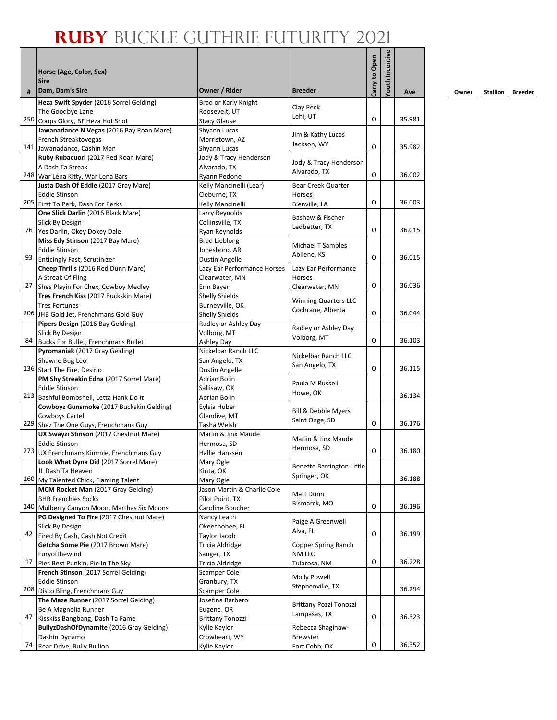|    | Horse (Age, Color, Sex)<br><b>Sire</b>                              |                                       |                                  | Carry to Open | Youth Incentive |        |
|----|---------------------------------------------------------------------|---------------------------------------|----------------------------------|---------------|-----------------|--------|
| #  | Dam, Dam's Sire                                                     | Owner / Rider                         | <b>Breeder</b>                   |               |                 | Ave    |
|    | Heza Swift Spyder (2016 Sorrel Gelding)                             | Brad or Karly Knight                  | Clay Peck                        |               |                 |        |
|    | The Goodbye Lane                                                    | Roosevelt. UT                         | Lehi, UT                         | O             |                 | 35.981 |
|    | 250 Coops Glory, BF Heza Hot Shot                                   | <b>Stacy Glause</b>                   |                                  |               |                 |        |
|    | Jawanadance N Vegas (2016 Bay Roan Mare)<br>French Streaktovegas    | Shyann Lucas<br>Morristown. AZ        | Jim & Kathy Lucas                |               |                 |        |
|    | 141 Jawanadance, Cashin Man                                         | Shyann Lucas                          | Jackson, WY                      | O             |                 | 35.982 |
|    | Ruby Rubacuori (2017 Red Roan Mare)                                 | Jody & Tracy Henderson                |                                  |               |                 |        |
|    | A Dash Ta Streak                                                    | Alvarado, TX                          | Jody & Tracy Henderson           |               |                 |        |
|    | 248 War Lena Kitty, War Lena Bars                                   | Ryann Pedone                          | Alvarado, TX                     | O             |                 | 36.002 |
|    | Justa Dash Of Eddie (2017 Gray Mare)                                | Kelly Mancinelli (Lear)               | Bear Creek Quarter               |               |                 |        |
|    | <b>Eddie Stinson</b>                                                | Cleburne, TX                          | Horses                           |               |                 |        |
|    | 205 First To Perk, Dash For Perks                                   | Kelly Mancinelli                      | Bienville, LA                    | O             |                 | 36.003 |
|    | One Slick Darlin (2016 Black Mare)                                  | Larry Reynolds                        | Bashaw & Fischer                 |               |                 |        |
|    | Slick By Design<br>76 Yes Darlin, Okey Dokey Dale                   | Collinsville, TX                      | Ledbetter, TX                    | O             |                 | 36.015 |
|    | Miss Edy Stinson (2017 Bay Mare)                                    | Ryan Reynolds<br><b>Brad Lieblong</b> |                                  |               |                 |        |
|    | <b>Eddie Stinson</b>                                                | Jonesboro, AR                         | Michael T Samples                |               |                 |        |
| 93 | <b>Enticingly Fast, Scrutinizer</b>                                 | <b>Dustin Angelle</b>                 | Abilene, KS                      | O             |                 | 36.015 |
|    | Cheep Thrills (2016 Red Dunn Mare)                                  | Lazy Ear Performance Horses           | Lazy Ear Performance             |               |                 |        |
|    | A Streak Of Fling                                                   | Clearwater, MN                        | Horses                           |               |                 |        |
| 27 | Shes Playin For Chex, Cowboy Medley                                 | Erin Bayer                            | Clearwater, MN                   | O             |                 | 36.036 |
|    | Tres French Kiss (2017 Buckskin Mare)                               | Shelly Shields                        | <b>Winning Quarters LLC</b>      |               |                 |        |
|    | <b>Tres Fortunes</b>                                                | Burneyville, OK                       | Cochrane, Alberta                |               |                 |        |
|    | 206 JHB Gold Jet, Frenchmans Gold Guy                               | <b>Shelly Shields</b>                 |                                  | $\Omega$      |                 | 36.044 |
|    | Pipers Design (2016 Bay Gelding)                                    | Radley or Ashley Day                  | Radley or Ashley Day             |               |                 |        |
| 84 | Slick By Design                                                     | Volborg, MT                           | Volborg, MT                      | O             |                 | 36.103 |
|    | Bucks For Bullet, Frenchmans Bullet                                 | Ashley Day<br>Nickelbar Ranch LLC     |                                  |               |                 |        |
|    | Pyromaniak (2017 Gray Gelding)<br>Shawne Bug Leo                    | San Angelo, TX                        | Nickelbar Ranch LLC              |               |                 |        |
|    | 136 Start The Fire, Desirio                                         | Dustin Angelle                        | San Angelo, TX                   | O             |                 | 36.115 |
|    | PM Shy Streakin Edna (2017 Sorrel Mare)                             | Adrian Bolin                          |                                  |               |                 |        |
|    | <b>Eddie Stinson</b>                                                | Sallisaw, OK                          | Paula M Russell                  |               |                 |        |
|    | 213 Bashful Bombshell, Letta Hank Do It                             | Adrian Bolin                          | Howe, OK                         |               |                 | 36.134 |
|    | Cowboyz Gunsmoke (2017 Buckskin Gelding)                            | Eylsia Huber                          | Bill & Debbie Myers              |               |                 |        |
|    | <b>Cowboys Cartel</b>                                               | Glendive, MT                          | Saint Onge, SD                   |               |                 |        |
|    | 229 Shez The One Guys, Frenchmans Guy                               | Tasha Welsh                           |                                  | O             |                 | 36.176 |
|    | UX Swayzi Stinson (2017 Chestnut Mare)                              | Marlin & Jinx Maude                   | Marlin & Jinx Maude              |               |                 |        |
|    | <b>Eddie Stinson</b><br>273 UX Frenchmans Kimmie, Frenchmans Guy    | Hermosa, SD<br>Hallie Hanssen         | Hermosa, SD                      | O             |                 | 36.180 |
|    | Look What Dyna Did (2017 Sorrel Mare)                               | Mary Ogle                             |                                  |               |                 |        |
|    | JL Dash Ta Heaven                                                   | Kinta, OK                             | <b>Benette Barrington Little</b> |               |                 |        |
|    | 160 My Talented Chick, Flaming Talent                               | Mary Ogle                             | Springer, OK                     |               |                 | 36.188 |
|    | MCM Rocket Man (2017 Gray Gelding)                                  | Jason Martin & Charlie Cole           | Matt Dunn                        |               |                 |        |
|    | <b>BHR Frenchies Socks</b>                                          | Pilot Point, TX                       | Bismarck, MO                     |               |                 |        |
|    | 140 Mulberry Canyon Moon, Marthas Six Moons                         | Caroline Boucher                      |                                  | O             |                 | 36.196 |
|    | PG Designed To Fire (2017 Chestnut Mare)                            | Nancy Leach                           | Paige A Greenwell                |               |                 |        |
| 42 | Slick By Design                                                     | Okeechobee, FL                        | Alva, FL                         | O             |                 | 36.199 |
|    | Fired By Cash, Cash Not Credit<br>Getcha Some Pie (2017 Brown Mare) | Taylor Jacob                          |                                  |               |                 |        |
|    | Furyofthewind                                                       | Tricia Aldridge<br>Sanger, TX         | Copper Spring Ranch<br>NM LLC    |               |                 |        |
| 17 | Pies Best Punkin, Pie In The Sky                                    | <b>Tricia Aldridge</b>                | Tularosa, NM                     | O             |                 | 36.228 |
|    | French Stinson (2017 Sorrel Gelding)                                | Scamper Cole                          |                                  |               |                 |        |
|    | <b>Eddie Stinson</b>                                                | Granbury, TX                          | Molly Powell                     |               |                 |        |
|    | 208 Disco Bling, Frenchmans Guy                                     | <b>Scamper Cole</b>                   | Stephenville, TX                 |               |                 | 36.294 |
|    | The Maze Runner (2017 Sorrel Gelding)                               | Josefina Barbero                      | Brittany Pozzi Tonozzi           |               |                 |        |
|    | Be A Magnolia Runner                                                | Eugene, OR                            | Lampasas, TX                     |               |                 |        |
| 47 | Kisskiss Bangbang, Dash Ta Fame                                     | <b>Brittany Tonozzi</b>               |                                  | O             |                 | 36.323 |
|    | BullyzDashOfDynamite (2016 Gray Gelding)                            | Kylie Kaylor                          | Rebecca Shaginaw-                |               |                 |        |
| 74 | Dashin Dynamo                                                       | Crowheart, WY                         | <b>Brewster</b>                  |               |                 | 36.352 |
|    | Rear Drive, Bully Bullion                                           | Kylie Kaylor                          | Fort Cobb, OK                    | o             |                 |        |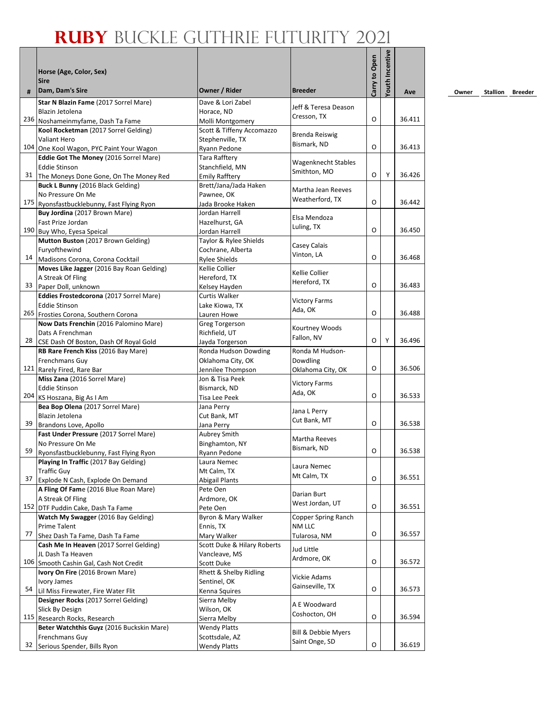|    | Horse (Age, Color, Sex)<br><b>Sire</b>                                          |                                               |                                | Carry to Open | Youth Incentive |        |
|----|---------------------------------------------------------------------------------|-----------------------------------------------|--------------------------------|---------------|-----------------|--------|
| #  | Dam, Dam's Sire                                                                 | Owner / Rider                                 | <b>Breeder</b>                 |               |                 | Ave    |
|    | Star N Blazin Fame (2017 Sorrel Mare)                                           | Dave & Lori Zabel                             | Jeff & Teresa Deason           |               |                 |        |
|    | Blazin Jetolena                                                                 | Horace, ND                                    | Cresson, TX                    | O             |                 |        |
|    | 236 Noshameinmyfame, Dash Ta Fame                                               | Molli Montgomery                              |                                |               |                 | 36.411 |
|    | Kool Rocketman (2017 Sorrel Gelding)<br><b>Valiant Hero</b>                     | Scott & Tiffeny Accomazzo<br>Stephenville, TX | <b>Brenda Reiswig</b>          |               |                 |        |
|    | 104 One Kool Wagon, PYC Paint Your Wagon                                        | Rvann Pedone                                  | Bismark, ND                    | O             |                 | 36.413 |
|    | Eddie Got The Money (2016 Sorrel Mare)                                          | <b>Tara Rafftery</b>                          |                                |               |                 |        |
|    | <b>Eddie Stinson</b>                                                            | Stanchfield, MN                               | Wagenknecht Stables            |               |                 |        |
|    | 31 The Moneys Done Gone, On The Money Red                                       | <b>Emily Rafftery</b>                         | Smithton, MO                   | O             | Y               | 36.426 |
|    | Buck L Bunny (2016 Black Gelding)                                               | Brett/Jana/Jada Haken                         | Martha Jean Reeves             |               |                 |        |
|    | No Pressure On Me                                                               | Pawnee, OK                                    | Weatherford, TX                |               |                 |        |
|    | 175 Ryonsfastbucklebunny, Fast Flying Ryon                                      | Jada Brooke Haken                             |                                | 0             |                 | 36.442 |
|    | Buy Jordina (2017 Brown Mare)                                                   | Jordan Harrell                                | Elsa Mendoza                   |               |                 |        |
|    | Fast Prize Jordan                                                               | Hazelhurst, GA                                | Luling, TX                     | O             |                 | 36.450 |
|    | 190 Buy Who, Eyesa Speical                                                      | Jordan Harrell                                |                                |               |                 |        |
|    | Mutton Buston (2017 Brown Gelding)<br>Furyofthewind                             | Taylor & Rylee Shields<br>Cochrane, Alberta   | Casey Calais                   |               |                 |        |
| 14 | Madisons Corona, Corona Cocktail                                                | <b>Rylee Shields</b>                          | Vinton, LA                     | O             |                 | 36.468 |
|    | Moves Like Jagger (2016 Bay Roan Gelding)                                       | Kellie Collier                                |                                |               |                 |        |
|    | A Streak Of Fling                                                               | Hereford, TX                                  | Kellie Collier                 |               |                 |        |
|    | 33 Paper Doll, unknown                                                          | Kelsey Hayden                                 | Hereford, TX                   | O             |                 | 36.483 |
|    | Eddies Frostedcorona (2017 Sorrel Mare)                                         | Curtis Walker                                 |                                |               |                 |        |
|    | <b>Eddie Stinson</b>                                                            | Lake Kiowa, TX                                | Victory Farms<br>Ada, OK       |               |                 |        |
|    | 265 Frosties Corona, Southern Corona                                            | Lauren Howe                                   |                                | 0             |                 | 36.488 |
|    | Now Dats Frenchin (2016 Palomino Mare)                                          | Greg Torgerson                                | Kourtney Woods                 |               |                 |        |
|    | Dats A Frenchman                                                                | Richfield, UT                                 | Fallon, NV                     | O             | Y               | 36.496 |
| 28 | CSE Dash Of Boston, Dash Of Royal Gold                                          | Jayda Torgerson                               |                                |               |                 |        |
|    | RB Rare French Kiss (2016 Bay Mare)<br>Frenchmans Guy                           | Ronda Hudson Dowding<br>Oklahoma City, OK     | Ronda M Hudson-<br>Dowdling    |               |                 |        |
|    | 121 Rarely Fired, Rare Bar                                                      | Jennilee Thompson                             | Oklahoma City, OK              | 0             |                 | 36.506 |
|    | Miss Zana (2016 Sorrel Mare)                                                    | Jon & Tisa Peek                               |                                |               |                 |        |
|    | <b>Eddie Stinson</b>                                                            | Bismarck, ND                                  | <b>Victory Farms</b>           |               |                 |        |
|    | 204 KS Hoszana, Big As I Am                                                     | Tisa Lee Peek                                 | Ada, OK                        | 0             |                 | 36.533 |
|    | Bea Bop Olena (2017 Sorrel Mare)                                                | Jana Perry                                    | Jana L Perry                   |               |                 |        |
|    | Blazin Jetolena                                                                 | Cut Bank, MT                                  | Cut Bank, MT                   |               |                 |        |
| 39 | Brandons Love, Apollo                                                           | Jana Perry                                    |                                | 0             |                 | 36.538 |
|    | Fast Under Pressure (2017 Sorrel Mare)                                          | Aubrey Smith                                  | Martha Reeves                  |               |                 |        |
| 59 | No Pressure On Me                                                               | Binghamton, NY                                | Bismark, ND                    | O             |                 | 36.538 |
|    | Ryonsfastbucklebunny, Fast Flying Ryon<br>Playing In Traffic (2017 Bay Gelding) | Ryann Pedone<br>Laura Nemec                   |                                |               |                 |        |
|    | <b>Traffic Guy</b>                                                              | Mt Calm, TX                                   | Laura Nemec                    |               |                 |        |
| 37 | Explode N Cash, Explode On Demand                                               | Abigail Plants                                | Mt Calm, TX                    | O             |                 | 36.551 |
|    | A Fling Of Fame (2016 Blue Roan Mare)                                           | Pete Oen                                      |                                |               |                 |        |
|    | A Streak Of Fling                                                               | Ardmore, OK                                   | Darian Burt                    |               |                 |        |
|    | 152 DTF Puddin Cake, Dash Ta Fame                                               | Pete Oen                                      | West Jordan, UT                | O             |                 | 36.551 |
|    | Watch My Swagger (2016 Bay Gelding)                                             | Byron & Mary Walker                           | Copper Spring Ranch            |               |                 |        |
|    | <b>Prime Talent</b>                                                             | Ennis, TX                                     | NM LLC                         |               |                 |        |
| 77 | Shez Dash Ta Fame, Dash Ta Fame                                                 | Mary Walker                                   | Tularosa, NM                   | O             |                 | 36.557 |
|    | Cash Me In Heaven (2017 Sorrel Gelding)<br>JL Dash Ta Heaven                    | Scott Duke & Hilary Roberts                   | Jud Little                     |               |                 |        |
|    | 106 Smooth Cashin Gal, Cash Not Credit                                          | Vancleave, MS<br>Scott Duke                   | Ardmore, OK                    | O             |                 | 36.572 |
|    | Ivory On Fire (2016 Brown Mare)                                                 | Rhett & Shelby Ridling                        |                                |               |                 |        |
|    | Ivory James                                                                     | Sentinel, OK                                  | Vickie Adams                   |               |                 |        |
| 54 | Lil Miss Firewater, Fire Water Flit                                             | Kenna Squires                                 | Gainseville, TX                | O             |                 | 36.573 |
|    | Designer Rocks (2017 Sorrel Gelding)                                            | Sierra Melby                                  |                                |               |                 |        |
|    | Slick By Design                                                                 | Wilson, OK                                    | A E Woodward<br>Coshocton, OH  |               |                 |        |
|    | 115 Research Rocks, Research                                                    | Sierra Melby                                  |                                | O             |                 | 36.594 |
|    | Beter Watchthis Guyz (2016 Buckskin Mare)                                       | <b>Wendy Platts</b>                           | <b>Bill &amp; Debbie Myers</b> |               |                 |        |
|    | Frenchmans Guy                                                                  | Scottsdale, AZ                                | Saint Onge, SD                 |               |                 |        |
| 32 | Serious Spender, Bills Ryon                                                     | <b>Wendy Platts</b>                           |                                | O             |                 | 36.619 |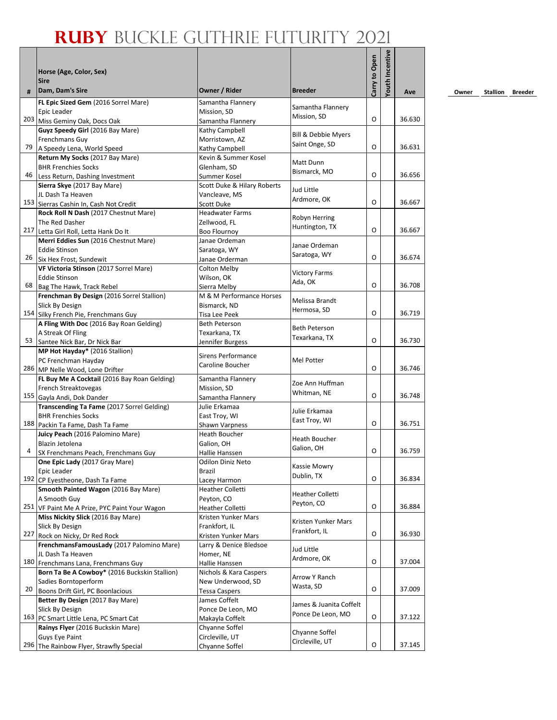## **Ruby** Buckle Guthrie Futurity 2021

|     | Horse (Age, Color, Sex)<br><b>Sire</b>                        |                                          |                           | Carry to Open | Youth Incentive |        |
|-----|---------------------------------------------------------------|------------------------------------------|---------------------------|---------------|-----------------|--------|
| #   | Dam, Dam's Sire                                               | Owner / Rider                            | <b>Breeder</b>            |               |                 | Ave    |
|     | FL Epic Sized Gem (2016 Sorrel Mare)                          | Samantha Flannery                        | Samantha Flannery         |               |                 |        |
|     | Epic Leader<br>203 Miss Geminy Oak, Docs Oak                  | Mission. SD<br>Samantha Flannery         | Mission, SD               | O             |                 | 36.630 |
|     | Guyz Speedy Girl (2016 Bay Mare)                              | Kathy Campbell                           |                           |               |                 |        |
|     | Frenchmans Guy                                                | Morristown, AZ                           | Bill & Debbie Myers       |               |                 |        |
| 79  | A Speedy Lena, World Speed                                    | Kathy Campbell                           | Saint Onge, SD            | O             |                 | 36.631 |
|     | Return My Socks (2017 Bay Mare)                               | Kevin & Summer Kosel                     |                           |               |                 |        |
|     | <b>BHR Frenchies Socks</b>                                    | Glenham, SD                              | Matt Dunn<br>Bismarck, MO |               |                 |        |
|     | 46 Less Return, Dashing Investment                            | Summer Kosel                             |                           | O             |                 | 36.656 |
|     | Sierra Skye (2017 Bay Mare)                                   | Scott Duke & Hilary Roberts              | Jud Little                |               |                 |        |
|     | JL Dash Ta Heaven                                             | Vancleave, MS                            | Ardmore, OK               |               |                 |        |
|     | 153 Sierras Cashin In, Cash Not Credit                        | Scott Duke                               |                           | O             |                 | 36.667 |
|     | Rock Roll N Dash (2017 Chestnut Mare)                         | <b>Headwater Farms</b>                   | Robyn Herring             |               |                 |        |
|     | The Red Dasher                                                | Zellwood, FL                             | Huntington, TX            |               |                 |        |
|     | 217 Letta Girl Roll, Letta Hank Do It                         | <b>Boo Flournoy</b>                      |                           | O             |                 | 36.667 |
|     | Merri Eddies Sun (2016 Chestnut Mare)                         | Janae Ordeman                            | Janae Ordeman             |               |                 |        |
|     | <b>Eddie Stinson</b>                                          | Saratoga, WY                             | Saratoga, WY              | O             |                 | 36.674 |
|     | 26 Six Hex Frost, Sundewit                                    | Janae Orderman                           |                           |               |                 |        |
|     | VF Victoria Stinson (2017 Sorrel Mare)                        | Colton Melby                             | <b>Victory Farms</b>      |               |                 |        |
| 68  | <b>Eddie Stinson</b>                                          | Wilson, OK                               | Ada, OK                   | O             |                 | 36.708 |
|     | Bag The Hawk, Track Rebel                                     | Sierra Melby<br>M & M Performance Horses |                           |               |                 |        |
|     | Frenchman By Design (2016 Sorrel Stallion)                    |                                          | Melissa Brandt            |               |                 |        |
|     | Slick By Design<br>154 Silky French Pie, Frenchmans Guy       | Bismarck, ND<br>Tisa Lee Peek            | Hermosa, SD               | O             |                 | 36.719 |
|     | A Fling With Doc (2016 Bay Roan Gelding)                      | <b>Beth Peterson</b>                     |                           |               |                 |        |
|     | A Streak Of Fling                                             | Texarkana, TX                            | <b>Beth Peterson</b>      |               |                 |        |
| 53  | Santee Nick Bar, Dr Nick Bar                                  | Jennifer Burgess                         | Texarkana, TX             | O             |                 | 36.730 |
|     | MP Hot Hayday* (2016 Stallion)                                |                                          |                           |               |                 |        |
|     | PC Frenchman Hayday                                           | <b>Sirens Performance</b>                | Mel Potter                |               |                 |        |
|     | 286 MP Nelle Wood, Lone Drifter                               | Caroline Boucher                         |                           | O             |                 | 36.746 |
|     | FL Buy Me A Cocktail (2016 Bay Roan Gelding)                  | Samantha Flannery                        |                           |               |                 |        |
|     | French Streaktovegas                                          | Mission, SD                              | Zoe Ann Huffman           |               |                 |        |
|     | 155 Gayla Andi, Dok Dander                                    | Samantha Flannery                        | Whitman, NE               | O             |                 | 36.748 |
|     | Transcending Ta Fame (2017 Sorrel Gelding)                    | Julie Erkamaa                            | Julie Erkamaa             |               |                 |        |
|     | <b>BHR Frenchies Socks</b>                                    | East Troy, WI                            | East Troy, WI             |               |                 |        |
|     | 188 Packin Ta Fame, Dash Ta Fame                              | Shawn Varpness                           |                           | O             |                 | 36.751 |
|     | Juicy Peach (2016 Palomino Mare)                              | <b>Heath Boucher</b>                     | <b>Heath Boucher</b>      |               |                 |        |
|     | Blazin Jetolena                                               | Galion, OH                               | Galion, OH                |               |                 |        |
| 4   | SX Frenchmans Peach, Frenchmans Guy                           | Hallie Hanssen                           |                           | O             |                 | 36.759 |
|     | One Epic Lady (2017 Gray Mare)                                | Odilon Diniz Neto                        | Kassie Mowry              |               |                 |        |
|     | Epic Leader                                                   | <b>Brazil</b>                            | Dublin, TX                | O             |                 | 36.834 |
|     | 192 CP Eyestheone, Dash Ta Fame                               | Lacey Harmon                             |                           |               |                 |        |
|     | Smooth Painted Wagon (2016 Bay Mare)                          | <b>Heather Colletti</b>                  | <b>Heather Colletti</b>   |               |                 |        |
|     | A Smooth Guy<br>251 VF Paint Me A Prize, PYC Paint Your Wagon | Peyton, CO<br><b>Heather Colletti</b>    | Peyton, CO                | O             |                 | 36.884 |
|     | Miss Nickity Slick (2016 Bay Mare)                            | Kristen Yunker Mars                      |                           |               |                 |        |
|     | Slick By Design                                               | Frankfort, IL                            | Kristen Yunker Mars       |               |                 |        |
| 227 | Rock on Nicky, Dr Red Rock                                    | Kristen Yunker Mars                      | Frankfort, IL             | O             |                 | 36.930 |
|     | FrenchmansFamousLady (2017 Palomino Mare)                     | Larry & Denice Bledsoe                   |                           |               |                 |        |
|     | JL Dash Ta Heaven                                             | Homer, NE                                | Jud Little                |               |                 |        |
|     | 180 Frenchmans Lana, Frenchmans Guy                           | Hallie Hanssen                           | Ardmore, OK               | O             |                 | 37.004 |
|     | Born Ta Be A Cowboy* (2016 Buckskin Stallion)                 | Nichols & Kara Caspers                   |                           |               |                 |        |
|     | Sadies Borntoperform                                          | New Underwood, SD                        | Arrow Y Ranch             |               |                 |        |
| 20  | Boons Drift Girl, PC Boonlacious                              | <b>Tessa Caspers</b>                     | Wasta, SD                 | O             |                 | 37.009 |
|     | Better By Design (2017 Bay Mare)                              | James Coffelt                            |                           |               |                 |        |
|     | Slick By Design                                               | Ponce De Leon, MO                        | James & Juanita Coffelt   |               |                 |        |
|     | 163 PC Smart Little Lena, PC Smart Cat                        | Makayla Coffelt                          | Ponce De Leon, MO         | O             |                 | 37.122 |
|     | Rainys Flyer (2016 Buckskin Mare)                             | Chyanne Soffel                           | Chyanne Soffel            |               |                 |        |
|     | <b>Guys Eye Paint</b>                                         | Circleville, UT                          | Circleville, UT           |               |                 |        |
|     | 296 The Rainbow Flyer, Strawfly Special                       | Chyanne Soffel                           |                           | O             |                 | 37.145 |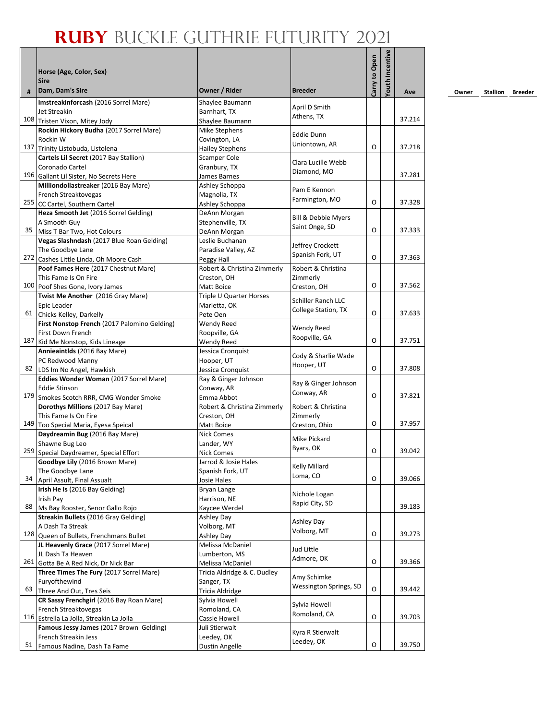|     |                                                                                 |                                    |                                           |               | Youth Incentive |        |
|-----|---------------------------------------------------------------------------------|------------------------------------|-------------------------------------------|---------------|-----------------|--------|
|     | Horse (Age, Color, Sex)                                                         |                                    |                                           |               |                 |        |
| #   | <b>Sire</b><br>Dam, Dam's Sire                                                  | Owner / Rider                      | <b>Breeder</b>                            | Carry to Open |                 | Ave    |
|     | Imstreakinforcash (2016 Sorrel Mare)                                            | Shaylee Baumann                    |                                           |               |                 |        |
|     | Jet Streakin                                                                    | Barnhart, TX                       | April D Smith<br>Athens, TX               |               |                 |        |
|     | 108 Tristen Vixon, Mitey Jody                                                   | Shaylee Baumann                    |                                           |               |                 | 37.214 |
|     | Rockin Hickory Budha (2017 Sorrel Mare)                                         | Mike Stephens                      | <b>Eddie Dunn</b>                         |               |                 |        |
|     | Rockin W                                                                        | Covington, LA                      | Uniontown, AR                             |               |                 |        |
|     | 137 Trinity Listobuda, Listolena                                                | <b>Hailey Stephens</b>             |                                           | O             |                 | 37.218 |
|     | Cartels Lil Secret (2017 Bay Stallion)                                          | Scamper Cole                       | Clara Lucille Webb                        |               |                 |        |
|     | Coronado Cartel                                                                 | Granbury, TX                       | Diamond, MO                               |               |                 | 37.281 |
|     | 196 Gallant Lil Sister, No Secrets Here                                         | James Barnes                       |                                           |               |                 |        |
|     | Milliondollastreaker (2016 Bay Mare)                                            | Ashley Schoppa                     | Pam E Kennon                              |               |                 |        |
|     | French Streaktovegas<br>255 CC Cartel, Southern Cartel                          | Magnolia, TX<br>Ashley Schoppa     | Farmington, MO                            | $\Omega$      |                 | 37.328 |
|     | Heza Smooth Jet (2016 Sorrel Gelding)                                           | DeAnn Morgan                       |                                           |               |                 |        |
|     | A Smooth Guy                                                                    | Stephenville, TX                   | <b>Bill &amp; Debbie Myers</b>            |               |                 |        |
| 35  | Miss T Bar Two, Hot Colours                                                     | DeAnn Morgan                       | Saint Onge, SD                            | O             |                 | 37.333 |
|     | Vegas Slashndash (2017 Blue Roan Gelding)                                       | Leslie Buchanan                    |                                           |               |                 |        |
|     | The Goodbye Lane                                                                | Paradise Valley, AZ                | Jeffrey Crockett                          |               |                 |        |
|     | 272 Cashes Little Linda, Oh Moore Cash                                          | Peggy Hall                         | Spanish Fork, UT                          | O             |                 | 37.363 |
|     | Poof Fames Here (2017 Chestnut Mare)                                            | Robert & Christina Zimmerly        | Robert & Christina                        |               |                 |        |
|     | This Fame Is On Fire                                                            | Creston, OH                        | Zimmerly                                  |               |                 |        |
|     | 100 Poof Shes Gone, Ivory James                                                 | Matt Boice                         | Creston, OH                               | O             |                 | 37.562 |
|     | Twist Me Another (2016 Gray Mare)                                               | Triple U Quarter Horses            |                                           |               |                 |        |
|     | Epic Leader                                                                     | Marietta, OK                       | Schiller Ranch LLC<br>College Station, TX |               |                 |        |
|     | 61 Chicks Kelley, Darkelly                                                      | Pete Oen                           |                                           | O             |                 | 37.633 |
|     | First Nonstop French (2017 Palomino Gelding)                                    | Wendy Reed                         | Wendy Reed                                |               |                 |        |
|     | <b>First Down French</b>                                                        | Roopville, GA                      | Roopville, GA                             |               |                 |        |
| 187 | Kid Me Nonstop, Kids Lineage                                                    | Wendy Reed                         |                                           | O             |                 | 37.751 |
|     | Annieaintlds (2016 Bay Mare)                                                    | Jessica Cronquist                  | Cody & Sharlie Wade                       |               |                 |        |
|     | PC Redwood Manny                                                                | Hooper, UT                         | Hooper, UT                                | O             |                 | 37.808 |
|     | 82 LDS Im No Angel, Hawkish                                                     | Jessica Cronquist                  |                                           |               |                 |        |
|     | Eddies Wonder Woman (2017 Sorrel Mare)                                          | Ray & Ginger Johnson<br>Conway, AR | Ray & Ginger Johnson                      |               |                 |        |
|     | <b>Eddie Stinson</b><br>179 Smokes Scotch RRR, CMG Wonder Smoke                 | Emma Abbot                         | Conway, AR                                | O             |                 | 37.821 |
|     | Dorothys Millions (2017 Bay Mare)                                               | Robert & Christina Zimmerly        | Robert & Christina                        |               |                 |        |
|     | This Fame Is On Fire                                                            | Creston, OH                        | Zimmerly                                  |               |                 |        |
|     | 149 Too Special Maria, Eyesa Speical                                            | Matt Boice                         | Creston, Ohio                             | O             |                 | 37.957 |
|     | Daydreamin Bug (2016 Bay Mare)                                                  | <b>Nick Comes</b>                  |                                           |               |                 |        |
|     | Shawne Bug Leo                                                                  | Lander, WY                         | Mike Pickard                              |               |                 |        |
|     | 259 Special Daydreamer, Special Effort                                          | <b>Nick Comes</b>                  | Byars, OK                                 | O             |                 | 39.042 |
|     | Goodbye Lily (2016 Brown Mare)                                                  | Jarrod & Josie Hales               | <b>Kelly Millard</b>                      |               |                 |        |
|     | The Goodbye Lane                                                                | Spanish Fork, UT                   | Loma, CO                                  |               |                 |        |
| 34  | April Assult, Final Assualt                                                     | Josie Hales                        |                                           | O             |                 | 39.066 |
|     | Irish He Is (2016 Bay Gelding)                                                  | Bryan Lange                        | Nichole Logan                             |               |                 |        |
|     | Irish Pay                                                                       | Harrison, NE                       | Rapid City, SD                            |               |                 |        |
| 88  | Ms Bay Rooster, Senor Gallo Rojo                                                | Kaycee Werdel                      |                                           |               |                 | 39.183 |
|     | Streakin Bullets (2016 Gray Gelding)                                            | Ashley Day                         | Ashley Day                                |               |                 |        |
|     | A Dash Ta Streak                                                                | Volborg, MT                        | Volborg, MT                               | O             |                 | 39.273 |
|     | 128 Queen of Bullets, Frenchmans Bullet<br>JL Heavenly Grace (2017 Sorrel Mare) | Ashley Day<br>Melissa McDaniel     |                                           |               |                 |        |
|     | JL Dash Ta Heaven                                                               | Lumberton, MS                      | Jud Little                                |               |                 |        |
|     | 261 Gotta Be A Red Nick, Dr Nick Bar                                            | Melissa McDaniel                   | Admore, OK                                | O             |                 | 39.366 |
|     | Three Times The Fury (2017 Sorrel Mare)                                         | Tricia Aldridge & C. Dudley        |                                           |               |                 |        |
|     | Furyofthewind                                                                   | Sanger, TX                         | Amy Schimke                               |               |                 |        |
| 63  | Three And Out, Tres Seis                                                        | <b>Tricia Aldridge</b>             | Wessington Springs, SD                    | O             |                 | 39.442 |
|     | CR Sassy Frenchgirl (2016 Bay Roan Mare)                                        | Sylvia Howell                      |                                           |               |                 |        |
|     | French Streaktovegas                                                            | Romoland, CA                       | Sylvia Howell                             |               |                 |        |
|     | 116 Estrella La Jolla, Streakin La Jolla                                        | Cassie Howell                      | Romoland, CA                              | O             |                 | 39.703 |
|     | Famous Jessy James (2017 Brown Gelding)                                         | Juli Stierwalt                     | Kyra R Stierwalt                          |               |                 |        |
|     | French Streakin Jess                                                            | Leedey, OK                         | Leedey, OK                                |               |                 |        |
| 51  | Famous Nadine, Dash Ta Fame                                                     | <b>Dustin Angelle</b>              |                                           | O             |                 | 39.750 |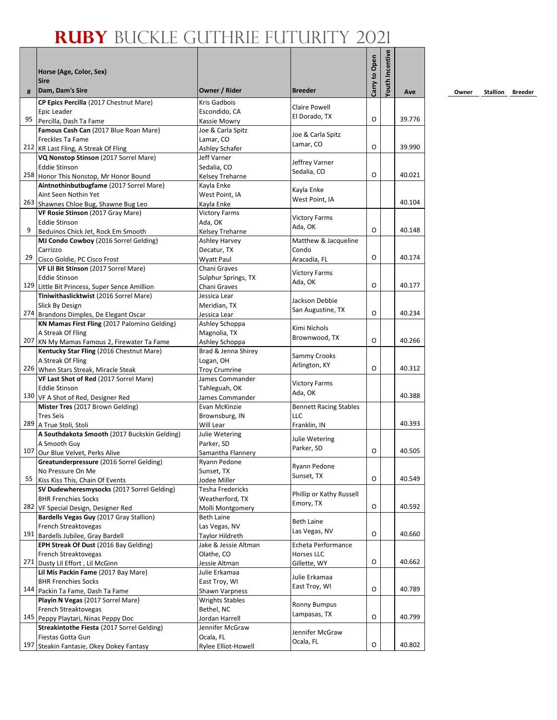## **Ruby** Buckle Guthrie Futurity 2021

|     | Horse (Age, Color, Sex)<br><b>Sire</b>                                                 |                                     |                               | Carry to Open | Youth Incentive |        |
|-----|----------------------------------------------------------------------------------------|-------------------------------------|-------------------------------|---------------|-----------------|--------|
| #   | Dam, Dam's Sire                                                                        | Owner / Rider                       | <b>Breeder</b>                |               |                 | Ave    |
|     | CP Epics Percilla (2017 Chestnut Mare)                                                 | <b>Kris Gadbois</b>                 | Claire Powell                 |               |                 |        |
|     | Epic Leader                                                                            | Escondido, CA                       | El Dorado, TX                 | O             |                 | 39.776 |
| 95  | Percilla, Dash Ta Fame                                                                 | Kassie Mowry                        |                               |               |                 |        |
|     | Famous Cash Can (2017 Blue Roan Mare)                                                  | Joe & Carla Spitz                   | Joe & Carla Spitz             |               |                 |        |
|     | <b>Freckles Ta Fame</b><br>212 KR Last Fling, A Streak Of Fling                        | Lamar, CO<br>Ashley Schafer         | Lamar, CO                     | O             |                 | 39.990 |
|     | VQ Nonstop Stinson (2017 Sorrel Mare)                                                  | Jeff Varner                         |                               |               |                 |        |
|     | <b>Eddie Stinson</b>                                                                   | Sedalia, CO                         | Jeffrey Varner                |               |                 |        |
|     | 258 Honor This Nonstop, Mr Honor Bound                                                 | Kelsey Treharne                     | Sedalia, CO                   | O             |                 | 40.021 |
|     | Aintnothinbutbugfame (2017 Sorrel Mare)                                                | Kayla Enke                          |                               |               |                 |        |
|     | Aint Seen Nothin Yet                                                                   | West Point, IA                      | Kayla Enke                    |               |                 |        |
|     | 263 Shawnes Chloe Bug, Shawne Bug Leo                                                  | Kayla Enke                          | West Point, IA                |               |                 | 40.104 |
|     | VF Rosie Stinson (2017 Gray Mare)                                                      | <b>Victory Farms</b>                | <b>Victory Farms</b>          |               |                 |        |
|     | Eddie Stinson                                                                          | Ada, OK                             | Ada, OK                       |               |                 |        |
| 9   | Beduinos Chick Jet, Rock Em Smooth                                                     | Kelsey Treharne                     |                               | O             |                 | 40.148 |
|     | MJ Condo Cowboy (2016 Sorrel Gelding)                                                  | <b>Ashley Harvey</b>                | Matthew & Jacqueline          |               |                 |        |
|     | Carrizzo                                                                               | Decatur, TX                         | Condo                         |               |                 |        |
| 29  | Cisco Goldie, PC Cisco Frost                                                           | Wyatt Paul                          | Aracadia, FL                  | O             |                 | 40.174 |
|     | VF Lil Bit Stinson (2017 Sorrel Mare)                                                  | Chani Graves                        | <b>Victory Farms</b>          |               |                 |        |
|     | <b>Eddie Stinson</b>                                                                   | Sulphur Springs, TX                 | Ada, OK                       |               |                 |        |
|     | 129 Little Bit Princess, Super Sence Amillion                                          | Chani Graves                        |                               | O             |                 | 40.177 |
|     | Tiniwithaslicktwist (2016 Sorrel Mare)                                                 | Jessica Lear                        | Jackson Debbie                |               |                 |        |
|     | Slick By Design                                                                        | Meridian, TX                        | San Augustine, TX             | O             |                 | 40.234 |
|     | 274 Brandons Dimples, De Elegant Oscar<br>KN Mamas First Fling (2017 Palomino Gelding) | Jessica Lear                        |                               |               |                 |        |
|     | A Streak Of Fling                                                                      | Ashley Schoppa<br>Magnolia, TX      | Kimi Nichols                  |               |                 |        |
|     | 207 KN My Mamas Famous 2, Firewater Ta Fame                                            | Ashley Schoppa                      | Brownwood, TX                 | O             |                 | 40.266 |
|     | Kentucky Star Fling (2016 Chestnut Mare)                                               | Brad & Jenna Shirey                 |                               |               |                 |        |
|     | A Streak Of Fling                                                                      | Logan, OH                           | Sammy Crooks                  |               |                 |        |
|     | 226 When Stars Streak, Miracle Steak                                                   | <b>Troy Crumrine</b>                | Arlington, KY                 | O             |                 | 40.312 |
|     | VF Last Shot of Red (2017 Sorrel Mare)                                                 | James Commander                     |                               |               |                 |        |
|     | <b>Eddie Stinson</b>                                                                   | Tahleguah, OK                       | <b>Victory Farms</b>          |               |                 |        |
|     | 130 VF A Shot of Red, Designer Red                                                     | James Commander                     | Ada, OK                       |               |                 | 40.388 |
|     | Mister Tres (2017 Brown Gelding)                                                       | Evan McKinzie                       | <b>Bennett Racing Stables</b> |               |                 |        |
|     | <b>Tres Seis</b>                                                                       | Brownsburg, IN                      | LLC                           |               |                 |        |
|     | 289 A True Stoli, Stoli                                                                | Will Lear                           | Franklin, IN                  |               |                 | 40.393 |
|     | A Southdakota Smooth (2017 Buckskin Gelding)                                           | Julie Wetering                      | Julie Wetering                |               |                 |        |
|     | A Smooth Guy                                                                           | Parker, SD                          | Parker, SD                    |               |                 |        |
|     | 107 Our Blue Velvet, Perks Alive                                                       | Samantha Flannery                   |                               | O             |                 | 40.505 |
|     | Greatunderpressure (2016 Sorrel Gelding)                                               | Ryann Pedone                        | Ryann Pedone                  |               |                 |        |
| 55  | No Pressure On Me                                                                      | Sunset, TX                          | Sunset, TX                    | O             |                 | 40.549 |
|     | Kiss Kiss This, Chain Of Events                                                        | Jodee Miller                        |                               |               |                 |        |
|     | SV Dudewheresmysocks (2017 Sorrel Gelding)<br><b>BHR Frenchies Socks</b>               | Tesha Fredericks<br>Weatherford, TX | Phillip or Kathy Russell      |               |                 |        |
|     | 282 VF Special Design, Designer Red                                                    | Molli Montgomery                    | Emory, TX                     | О             |                 | 40.592 |
|     | Bardells Vegas Guy (2017 Gray Stallion)                                                | <b>Beth Laine</b>                   |                               |               |                 |        |
|     | French Streaktovegas                                                                   | Las Vegas, NV                       | <b>Beth Laine</b>             |               |                 |        |
|     | 191 Bardells Jubilee, Gray Bardell                                                     | Taylor Hildreth                     | Las Vegas, NV                 | O             |                 | 40.660 |
|     | EPH Streak Of Dust (2016 Bay Gelding)                                                  | Jake & Jessie Altman                | <b>Echeta Performance</b>     |               |                 |        |
|     | French Streaktovegas                                                                   | Olathe, CO                          | Horses LLC                    |               |                 |        |
|     | 271 Dusty Lil Effort, Lil McGinn                                                       | Jessie Altman                       | Gillette, WY                  | O             |                 | 40.662 |
|     | Lil Mis Packin Fame (2017 Bay Mare)                                                    | Julie Erkamaa                       |                               |               |                 |        |
|     | <b>BHR Frenchies Socks</b>                                                             | East Troy, WI                       | Julie Erkamaa                 |               |                 |        |
|     | 144 Packin Ta Fame, Dash Ta Fame                                                       | Shawn Varpness                      | East Troy, WI                 | O             |                 | 40.789 |
|     | Playin N Vegas (2017 Sorrel Mare)                                                      | <b>Wrights Stables</b>              | <b>Ronny Bumpus</b>           |               |                 |        |
|     | French Streaktovegas                                                                   | Bethel, NC                          | Lampasas, TX                  |               |                 |        |
|     | 145 Peppy Playtari, Ninas Peppy Doc                                                    | Jordan Harrell                      |                               | O             |                 | 40.799 |
|     | Streakintothe Fiesta (2017 Sorrel Gelding)                                             | Jennifer McGraw                     | Jennifer McGraw               |               |                 |        |
|     | Fiestas Gotta Gun                                                                      | Ocala, FL                           | Ocala, FL                     |               |                 |        |
| 197 | Steakin Fantasie, Okey Dokey Fantasy                                                   | Rylee Elliot-Howell                 |                               | O             |                 | 40.802 |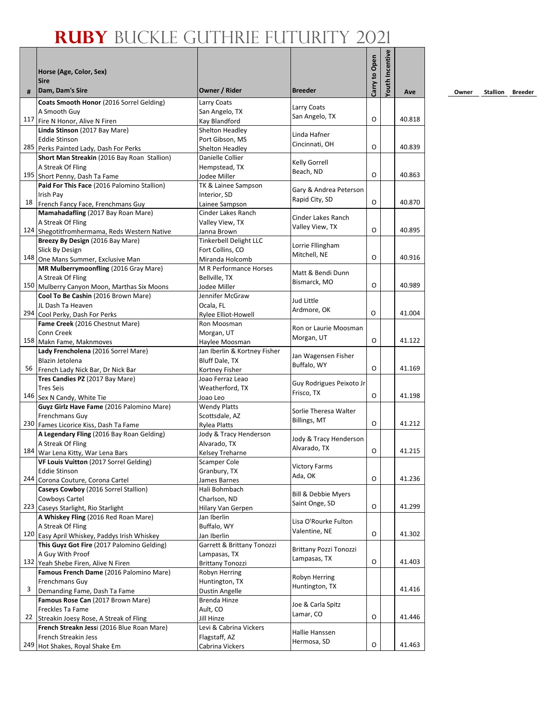|    |                                                                                       |                                        |                               | Carry to Open | Youth Incentive |        |
|----|---------------------------------------------------------------------------------------|----------------------------------------|-------------------------------|---------------|-----------------|--------|
|    | Horse (Age, Color, Sex)<br><b>Sire</b>                                                |                                        |                               |               |                 |        |
| #  | Dam, Dam's Sire                                                                       | Owner / Rider                          | <b>Breeder</b>                |               |                 | Ave    |
|    | Coats Smooth Honor (2016 Sorrel Gelding)                                              | Larry Coats                            | Larry Coats                   |               |                 |        |
|    | A Smooth Guy                                                                          | San Angelo, TX                         | San Angelo, TX                |               |                 |        |
|    | 117 Fire N Honor, Alive N Firen                                                       | Kay Blandford                          |                               | O             |                 | 40.818 |
|    | Linda Stinson (2017 Bay Mare)                                                         | Shelton Headley                        | Linda Hafner                  |               |                 |        |
|    | <b>Eddie Stinson</b>                                                                  | Port Gibson, MS<br>Shelton Headlev     | Cincinnati, OH                | O             |                 | 40.839 |
|    | 285 Perks Painted Lady, Dash For Perks<br>Short Man Streakin (2016 Bay Roan Stallion) | Danielle Collier                       |                               |               |                 |        |
|    | A Streak Of Fling                                                                     | Hempstead, TX                          | Kelly Gorrell                 |               |                 |        |
|    | 195 Short Penny, Dash Ta Fame                                                         | Jodee Miller                           | Beach, ND                     | O             |                 | 40.863 |
|    | Paid For This Face (2016 Palomino Stallion)                                           | TK & Lainee Sampson                    |                               |               |                 |        |
|    | Irish Pay                                                                             | Interior, SD                           | Gary & Andrea Peterson        |               |                 |        |
|    | 18 French Fancy Face, Frenchmans Guy                                                  | Lainee Sampson                         | Rapid City, SD                | O             |                 | 40.870 |
|    | Mamahadafling (2017 Bay Roan Mare)                                                    | Cinder Lakes Ranch                     | Cinder Lakes Ranch            |               |                 |        |
|    | A Streak Of Fling                                                                     | Valley View, TX                        | Valley View, TX               |               |                 |        |
|    | 124 Shegotitfromhermama, Reds Western Native                                          | Janna Brown                            |                               | O             |                 | 40.895 |
|    | Breezy By Design (2016 Bay Mare)                                                      | <b>Tinkerbell Delight LLC</b>          | Lorrie Fllingham              |               |                 |        |
|    | Slick By Design                                                                       | Fort Collins, CO                       | Mitchell, NE                  |               |                 |        |
|    | 148 One Mans Summer, Exclusive Man                                                    | Miranda Holcomb                        |                               | O             |                 | 40.916 |
|    | MR Mulberrymoonfling (2016 Gray Mare)                                                 | M R Performance Horses                 | Matt & Bendi Dunn             |               |                 |        |
|    | A Streak Of Fling                                                                     | Bellville, TX                          | Bismarck, MO                  | O             |                 | 40.989 |
|    | 150 Mulberry Canyon Moon, Marthas Six Moons                                           | Jodee Miller<br>Jennifer McGraw        |                               |               |                 |        |
|    | Cool To Be Cashin (2016 Brown Mare)<br>JL Dash Ta Heaven                              | Ocala, FL                              | Jud Little                    |               |                 |        |
|    | 294 Cool Perky, Dash For Perks                                                        | Rylee Elliot-Howell                    | Ardmore, OK                   | O             |                 | 41.004 |
|    | Fame Creek (2016 Chestnut Mare)                                                       | Ron Moosman                            |                               |               |                 |        |
|    | Conn Creek                                                                            | Morgan, UT                             | Ron or Laurie Moosman         |               |                 |        |
|    | 158 Makn Fame, Maknmoves                                                              | Haylee Moosman                         | Morgan, UT                    | O             |                 | 41.122 |
|    | Lady Frencholena (2016 Sorrel Mare)                                                   | Jan Iberlin & Kortney Fisher           |                               |               |                 |        |
|    | Blazin Jetolena                                                                       | Bluff Dale, TX                         | Jan Wagensen Fisher           |               |                 |        |
| 56 | French Lady Nick Bar, Dr Nick Bar                                                     | Kortney Fisher                         | Buffalo, WY                   | O             |                 | 41.169 |
|    | Tres Candies PZ (2017 Bay Mare)                                                       | Joao Ferraz Leao                       | Guy Rodrigues Peixoto Jr      |               |                 |        |
|    | <b>Tres Seis</b>                                                                      | Weatherford, TX                        | Frisco, TX                    |               |                 |        |
|    | 146 Sex N Candy, White Tie                                                            | Joao Leo                               |                               | O             |                 | 41.198 |
|    | Guyz Girlz Have Fame (2016 Palomino Mare)                                             | <b>Wendy Platts</b>                    | Sorlie Theresa Walter         |               |                 |        |
|    | Frenchmans Guy                                                                        | Scottsdale, AZ                         | <b>Billings, MT</b>           | O             |                 | 41.212 |
|    | 230 Fames Licorice Kiss, Dash Ta Fame                                                 | <b>Rylea Platts</b>                    |                               |               |                 |        |
|    | A Legendary Fling (2016 Bay Roan Gelding)                                             | Jody & Tracy Henderson                 | Jody & Tracy Henderson        |               |                 |        |
|    | A Streak Of Fling<br>184 War Lena Kitty, War Lena Bars                                | Alvarado, TX                           | Alvarado, TX                  | O             |                 | 41.215 |
|    | VF Louis Vuitton (2017 Sorrel Gelding)                                                | Kelsey Treharne<br><b>Scamper Cole</b> |                               |               |                 |        |
|    | <b>Eddie Stinson</b>                                                                  | Granbury, TX                           | <b>Victory Farms</b>          |               |                 |        |
|    | 244 Corona Couture, Corona Cartel                                                     | James Barnes                           | Ada, OK                       | O             |                 | 41.236 |
|    | Caseys Cowboy (2016 Sorrel Stallion)                                                  | Hali Bohmbach                          |                               |               |                 |        |
|    | Cowboys Cartel                                                                        | Charlson, ND                           | Bill & Debbie Myers           |               |                 |        |
|    | 223 Caseys Starlight, Rio Starlight                                                   | Hilary Van Gerpen                      | Saint Onge, SD                | O             |                 | 41.299 |
|    | A Whiskey Fling (2016 Red Roan Mare)                                                  | Jan Iberlin                            | Lisa O'Rourke Fulton          |               |                 |        |
|    | A Streak Of Fling                                                                     | Buffalo, WY                            | Valentine, NE                 |               |                 |        |
|    | 120 Easy April Whiskey, Paddys Irish Whiskey                                          | Jan Iberlin                            |                               | O             |                 | 41.302 |
|    | This Guyz Got Fire (2017 Palomino Gelding)                                            | Garrett & Brittany Tonozzi             | <b>Brittany Pozzi Tonozzi</b> |               |                 |        |
|    | A Guy With Proof                                                                      | Lampasas, TX                           | Lampasas, TX                  |               |                 |        |
|    | 132 Yeah Shebe Firen, Alive N Firen                                                   | <b>Brittany Tonozzi</b>                |                               | O             |                 | 41.403 |
|    | Famous French Dame (2016 Palomino Mare)                                               | Robyn Herring                          | Robyn Herring                 |               |                 |        |
| 3  | Frenchmans Guy                                                                        | Huntington, TX                         | Huntington, TX                |               |                 | 41.416 |
|    | Demanding Fame, Dash Ta Fame                                                          | Dustin Angelle                         |                               |               |                 |        |
|    | Famous Rose Can (2017 Brown Mare)<br>Freckles Ta Fame                                 | Brenda Hinze<br>Ault, CO               | Joe & Carla Spitz             |               |                 |        |
| 22 | Streakin Joesy Rose, A Streak of Fling                                                | Jill Hinze                             | Lamar, CO                     | O             |                 | 41.446 |
|    | French Streakn Jessi (2016 Blue Roan Mare)                                            | Levi & Cabrina Vickers                 |                               |               |                 |        |
|    | French Streakin Jess                                                                  | Flagstaff, AZ                          | Hallie Hanssen                |               |                 |        |
|    | 249 Hot Shakes, Royal Shake Em                                                        | Cabrina Vickers                        | Hermosa, SD                   | O             |                 | 41.463 |
|    |                                                                                       |                                        |                               |               |                 |        |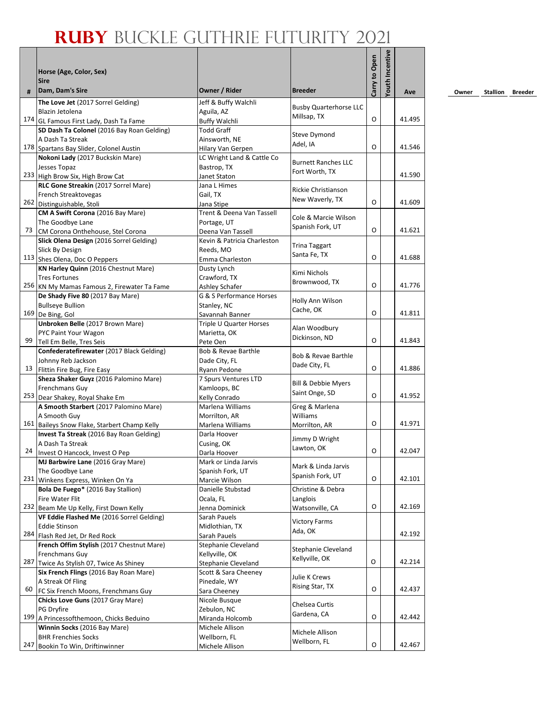|     | Horse (Age, Color, Sex)<br><b>Sire</b><br>Dam, Dam's Sire                            | Owner / Rider                              | <b>Breeder</b>                        | Carry to Open | <b>Youth Incentive</b> |        |
|-----|--------------------------------------------------------------------------------------|--------------------------------------------|---------------------------------------|---------------|------------------------|--------|
| #   |                                                                                      |                                            |                                       |               |                        | Ave    |
|     | The Love Jet (2017 Sorrel Gelding)                                                   | Jeff & Buffy Walchli                       | <b>Busby Quarterhorse LLC</b>         |               |                        |        |
|     | Blazin Jetolena                                                                      | Aguila, AZ                                 | Millsap, TX                           | O             |                        | 41.495 |
|     | 174 GL Famous First Lady, Dash Ta Fame<br>SD Dash Ta Colonel (2016 Bay Roan Gelding) | <b>Buffy Walchli</b><br><b>Todd Graff</b>  |                                       |               |                        |        |
|     | A Dash Ta Streak                                                                     | Ainsworth, NE                              | Steve Dymond                          |               |                        |        |
|     | 178 Spartans Bay Slider, Colonel Austin                                              | Hilary Van Gerpen                          | Adel, IA                              | O             |                        | 41.546 |
|     | Nokoni Lady (2017 Buckskin Mare)                                                     | LC Wright Land & Cattle Co                 |                                       |               |                        |        |
|     | Jesses Topaz                                                                         | Bastrop, TX                                | <b>Burnett Ranches LLC</b>            |               |                        |        |
|     | 233 High Brow Six, High Brow Cat                                                     | Janet Staton                               | Fort Worth, TX                        |               |                        | 41.590 |
|     | RLC Gone Streakin (2017 Sorrel Mare)                                                 | Jana L Himes                               |                                       |               |                        |        |
|     | French Streaktovegas                                                                 | Gail, TX                                   | Rickie Christianson                   |               |                        |        |
|     | 262 Distinguishable, Stoli                                                           | Jana Stipe                                 | New Waverly, TX                       | O             |                        | 41.609 |
|     | CM A Swift Corona (2016 Bay Mare)                                                    | Trent & Deena Van Tassell                  | Cole & Marcie Wilson                  |               |                        |        |
|     | The Goodbye Lane                                                                     | Portage, UT                                | Spanish Fork, UT                      |               |                        |        |
| 73  | CM Corona Onthehouse, Stel Corona                                                    | Deena Van Tassell                          |                                       | O             |                        | 41.621 |
|     | Slick Olena Design (2016 Sorrel Gelding)                                             | Kevin & Patricia Charleston                | <b>Trina Taggart</b>                  |               |                        |        |
|     | Slick By Design                                                                      | Reeds, MO                                  | Santa Fe, TX                          |               |                        |        |
|     | 113 Shes Olena, Doc O Peppers                                                        | Emma Charleston                            |                                       | O             |                        | 41.688 |
|     | KN Harley Quinn (2016 Chestnut Mare)                                                 | Dusty Lynch                                | Kimi Nichols                          |               |                        |        |
|     | <b>Tres Fortunes</b>                                                                 | Crawford, TX                               | Brownwood, TX                         | O             |                        |        |
|     | 256 KN My Mamas Famous 2, Firewater Ta Fame                                          | Ashley Schafer                             |                                       |               |                        | 41.776 |
|     | De Shady Five 80 (2017 Bay Mare)                                                     | G & S Performance Horses                   | Holly Ann Wilson                      |               |                        |        |
|     | <b>Bullseye Bullion</b><br>169 De Bing, Gol                                          | Stanley, NC                                | Cache, OK                             | O             |                        | 41.811 |
|     | Unbroken Belle (2017 Brown Mare)                                                     | Savannah Banner<br>Triple U Quarter Horses |                                       |               |                        |        |
|     | PYC Paint Your Wagon                                                                 | Marietta, OK                               | Alan Woodbury                         |               |                        |        |
| 99  | Tell Em Belle, Tres Seis                                                             | Pete Oen                                   | Dickinson, ND                         | O             |                        | 41.843 |
|     | Confederatefirewater (2017 Black Gelding)                                            | Bob & Revae Barthle                        |                                       |               |                        |        |
|     | Johnny Reb Jackson                                                                   | Dade City, FL                              | <b>Bob &amp; Revae Barthle</b>        |               |                        |        |
| 13  | Flittin Fire Bug, Fire Easy                                                          | Ryann Pedone                               | Dade City, FL                         | O             |                        | 41.886 |
|     | Sheza Shaker Guyz (2016 Palomino Mare)                                               | 7 Spurs Ventures LTD                       |                                       |               |                        |        |
|     | Frenchmans Guy                                                                       | Kamloops, BC                               | Bill & Debbie Myers                   |               |                        |        |
|     | 253 Dear Shakey, Royal Shake Em                                                      | Kelly Conrado                              | Saint Onge, SD                        | O             |                        | 41.952 |
|     | A Smooth Starbert (2017 Palomino Mare)                                               | Marlena Williams                           | Greg & Marlena                        |               |                        |        |
|     | A Smooth Guy                                                                         | Morrilton, AR                              | <b>Williams</b>                       |               |                        |        |
|     | 161 Baileys Snow Flake, Starbert Champ Kelly                                         | Marlena Williams                           | Morrilton, AR                         | 0             |                        | 41.971 |
|     | Invest Ta Streak (2016 Bay Roan Gelding)                                             | Darla Hoover                               | Jimmy D Wright                        |               |                        |        |
| 24  | A Dash Ta Streak                                                                     | Cusing, OK                                 | Lawton, OK                            | O             |                        | 42.047 |
|     | Invest O Hancock, Invest O Pep                                                       | Darla Hoover                               |                                       |               |                        |        |
|     | MJ Barbwire Lane (2016 Gray Mare)<br>The Goodbye Lane                                | Mark or Linda Jarvis<br>Spanish Fork, UT   | Mark & Linda Jarvis                   |               |                        |        |
|     | 231 Winkens Express, Winken On Ya                                                    | Marcie Wilson                              | Spanish Fork, UT                      | O             |                        | 42.101 |
|     | Bola De Fuego* (2016 Bay Stallion)                                                   | Danielle Stubstad                          | Christine & Debra                     |               |                        |        |
|     | Fire Water Flit                                                                      | Ocala, FL                                  | Langlois                              |               |                        |        |
|     | 232 Beam Me Up Kelly, First Down Kelly                                               | Jenna Dominick                             | Watsonville, CA                       | O             |                        | 42.169 |
|     | VF Eddie Flashed Me (2016 Sorrel Gelding)                                            | Sarah Pauels                               |                                       |               |                        |        |
|     | <b>Eddie Stinson</b>                                                                 | Midlothian, TX                             | <b>Victory Farms</b>                  |               |                        |        |
| 284 | Flash Red Jet, Dr Red Rock                                                           | Sarah Pauels                               | Ada, OK                               |               |                        | 42.192 |
|     | French Offim Stylish (2017 Chestnut Mare)                                            | Stephanie Cleveland                        |                                       |               |                        |        |
|     | Frenchmans Guy                                                                       | Kellyville, OK                             | Stephanie Cleveland<br>Kellyville, OK |               |                        |        |
| 287 | Twice As Stylish 07, Twice As Shiney                                                 | <b>Stephanie Cleveland</b>                 |                                       | O             |                        | 42.214 |
|     | Six French Flings (2016 Bay Roan Mare)                                               | Scott & Sara Cheeney                       | Julie K Crews                         |               |                        |        |
|     | A Streak Of Fling                                                                    | Pinedale, WY                               | Rising Star, TX                       |               |                        |        |
| 60  | FC Six French Moons, Frenchmans Guy                                                  | Sara Cheeney                               |                                       | O             |                        | 42.437 |
|     | Chicks Love Guns (2017 Gray Mare)                                                    | Nicole Busque                              | Chelsea Curtis                        |               |                        |        |
| 199 | PG Dryfire                                                                           | Zebulon, NC                                | Gardena, CA                           | O             |                        | 42.442 |
|     | A Princessofthemoon, Chicks Beduino                                                  | Miranda Holcomb                            |                                       |               |                        |        |
|     | Winnin Socks (2016 Bay Mare)<br><b>BHR Frenchies Socks</b>                           | Michele Allison<br>Wellborn, FL            | Michele Allison                       |               |                        |        |
| 247 | Bookin To Win, Driftinwinner                                                         | Michele Allison                            | Wellborn, FL                          | O             |                        | 42.467 |
|     |                                                                                      |                                            |                                       |               |                        |        |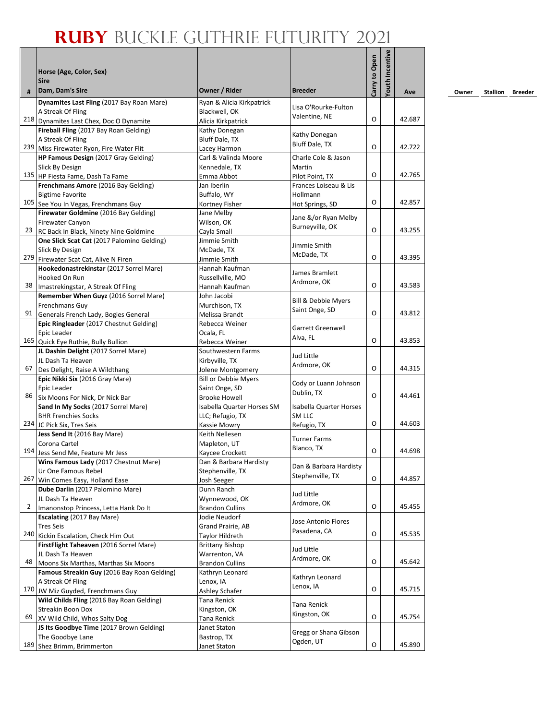|     | Horse (Age, Color, Sex)                                                    |                                           |                                       | Carry to Open | Youth Incentive |        |
|-----|----------------------------------------------------------------------------|-------------------------------------------|---------------------------------------|---------------|-----------------|--------|
| #   | <b>Sire</b><br>Dam, Dam's Sire                                             | Owner / Rider                             | <b>Breeder</b>                        |               |                 | Ave    |
|     | Dynamites Last Fling (2017 Bay Roan Mare)                                  | Ryan & Alicia Kirkpatrick                 |                                       |               |                 |        |
|     | A Streak Of Fling                                                          | Blackwell, OK                             | Lisa O'Rourke-Fulton<br>Valentine, NE |               |                 |        |
|     | 218 Dynamites Last Chex, Doc O Dynamite                                    | Alicia Kirkpatrick                        |                                       | O             |                 | 42.687 |
|     | Fireball Fling (2017 Bay Roan Gelding)                                     | Kathy Donegan                             | Kathy Donegan                         |               |                 |        |
|     | A Streak Of Fling<br>239 Miss Firewater Ryon, Fire Water Flit              | Bluff Dale, TX                            | Bluff Dale, TX                        | O             |                 | 42.722 |
|     | HP Famous Design (2017 Gray Gelding)                                       | Lacey Harmon<br>Carl & Valinda Moore      | Charle Cole & Jason                   |               |                 |        |
|     | Slick By Design                                                            | Kennedale, TX                             | Martin                                |               |                 |        |
|     | 135 HP Fiesta Fame, Dash Ta Fame                                           | Emma Abbot                                | Pilot Point, TX                       | O             |                 | 42.765 |
|     | Frenchmans Amore (2016 Bay Gelding)                                        | Jan Iberlin                               | Frances Loiseau & Lis                 |               |                 |        |
|     | <b>Bigtime Favorite</b>                                                    | Buffalo, WY                               | Hollmann                              |               |                 |        |
|     | 105 See You In Vegas, Frenchmans Guy                                       | Kortney Fisher                            | Hot Springs, SD                       | O             |                 | 42.857 |
|     | Firewater Goldmine (2016 Bay Gelding)                                      | Jane Melby                                | Jane &/or Ryan Melby                  |               |                 |        |
|     | <b>Firewater Canyon</b>                                                    | Wilson, OK                                | Burneyville, OK                       | O             |                 | 43.255 |
| 23  | RC Back In Black, Ninety Nine Goldmine                                     | Cayla Small                               |                                       |               |                 |        |
|     | One Slick Scat Cat (2017 Palomino Gelding)<br>Slick By Design              | Jimmie Smith<br>McDade, TX                | Jimmie Smith                          |               |                 |        |
|     | 279 Firewater Scat Cat, Alive N Firen                                      | Jimmie Smith                              | McDade, TX                            | O             |                 | 43.395 |
|     | Hookedonastrekinstar (2017 Sorrel Mare)                                    | Hannah Kaufman                            |                                       |               |                 |        |
|     | Hooked On Run                                                              | Russellville, MO                          | James Bramlett                        |               |                 |        |
| 38  | Imastrekingstar, A Streak Of Fling                                         | Hannah Kaufman                            | Ardmore, OK                           | O             |                 | 43.583 |
|     | Remember When Guyz (2016 Sorrel Mare)                                      | John Jacobi                               |                                       |               |                 |        |
|     | <b>Frenchmans Guv</b>                                                      | Murchison, TX                             | Bill & Debbie Myers<br>Saint Onge, SD |               |                 |        |
| 91  | Generals French Lady, Bogies General                                       | Melissa Brandt                            |                                       | O             |                 | 43.812 |
|     | Epic Ringleader (2017 Chestnut Gelding)                                    | Rebecca Weiner                            | <b>Garrett Greenwell</b>              |               |                 |        |
|     | Epic Leader                                                                | Ocala, FL                                 | Alva, FL                              | O             |                 | 43.853 |
|     | 165 Quick Eye Ruthie, Bully Bullion                                        | Rebecca Weiner                            |                                       |               |                 |        |
|     | JL Dashin Delight (2017 Sorrel Mare)<br>JL Dash Ta Heaven                  | Southwestern Farms<br>Kirbyville, TX      | Jud Little                            |               |                 |        |
| 67  | Des Delight, Raise A Wildthang                                             | Jolene Montgomery                         | Ardmore, OK                           | O             |                 | 44.315 |
|     | Epic Nikki Six (2016 Gray Mare)                                            | <b>Bill or Debbie Myers</b>               |                                       |               |                 |        |
|     | Epic Leader                                                                | Saint Onge, SD                            | Cody or Luann Johnson                 |               |                 |        |
|     | 86 Six Moons For Nick, Dr Nick Bar                                         | <b>Brooke Howell</b>                      | Dublin, TX                            | O             |                 | 44.461 |
|     | Sand In My Socks (2017 Sorrel Mare)                                        | Isabella Quarter Horses SM                | <b>Isabella Quarter Horses</b>        |               |                 |        |
|     | <b>BHR Frenchies Socks</b>                                                 | LLC; Refugio, TX                          | SM LLC                                |               |                 |        |
|     | 234 JC Pick Six, Tres Seis                                                 | Kassie Mowry                              | Refugio, TX                           | O             |                 | 44.603 |
|     | Jess Send It (2016 Bay Mare)                                               | Keith Nellesen                            | <b>Turner Farms</b>                   |               |                 |        |
|     | Corona Cartel                                                              | Mapleton, UT                              | Blanco, TX                            | O             |                 | 44.698 |
|     | 194 Jess Send Me, Feature Mr Jess<br>Wins Famous Lady (2017 Chestnut Mare) | Kaycee Crockett<br>Dan & Barbara Hardisty |                                       |               |                 |        |
|     | Ur One Famous Rebel                                                        | Stephenville, TX                          | Dan & Barbara Hardisty                |               |                 |        |
|     | 267 Win Comes Easy, Holland Ease                                           | Josh Seeger                               | Stephenville, TX                      | O             |                 | 44.857 |
|     | Dube Darlin (2017 Palomino Mare)                                           | Dunn Ranch                                |                                       |               |                 |        |
|     | JL Dash Ta Heaven                                                          | Wynnewood, OK                             | Jud Little                            |               |                 |        |
| 2   | Imanonstop Princess, Letta Hank Do It                                      | <b>Brandon Cullins</b>                    | Ardmore, OK                           | O             |                 | 45.455 |
|     | Escalating (2017 Bay Mare)                                                 | Jodie Neudorf                             | Jose Antonio Flores                   |               |                 |        |
|     | <b>Tres Seis</b>                                                           | Grand Prairie, AB                         | Pasadena, CA                          |               |                 |        |
|     | 240 Kickin Escalation, Check Him Out                                       | Taylor Hildreth                           |                                       | O             |                 | 45.535 |
|     | FirstFlight Taheaven (2016 Sorrel Mare)<br>JL Dash Ta Heaven               | <b>Brittany Bishop</b><br>Warrenton, VA   | Jud Little                            |               |                 |        |
| 48  | Moons Six Marthas, Marthas Six Moons                                       | <b>Brandon Cullins</b>                    | Ardmore, OK                           | O             |                 | 45.642 |
|     | Famous Streakin Guy (2016 Bay Roan Gelding)                                | Kathryn Leonard                           |                                       |               |                 |        |
|     | A Streak Of Fling                                                          | Lenox, IA                                 | Kathryn Leonard                       |               |                 |        |
|     | 170 JW Miz Guyded, Frenchmans Guy                                          | Ashley Schafer                            | Lenox, IA                             | O             |                 | 45.715 |
|     | Wild Childs Fling (2016 Bay Roan Gelding)                                  | Tana Renick                               | Tana Renick                           |               |                 |        |
|     | <b>Streakin Boon Dox</b>                                                   | Kingston, OK                              | Kingston, OK                          |               |                 |        |
| 69  | XV Wild Child, Whos Salty Dog                                              | Tana Renick                               |                                       | O             |                 | 45.754 |
|     | JS Its Goodbye Time (2017 Brown Gelding)                                   | Janet Staton                              | Gregg or Shana Gibson                 |               |                 |        |
| 189 | The Goodbye Lane                                                           | Bastrop, TX                               | Ogden, UT                             | O             |                 | 45.890 |
|     | Shez Brimm, Brimmerton                                                     | Janet Staton                              |                                       |               |                 |        |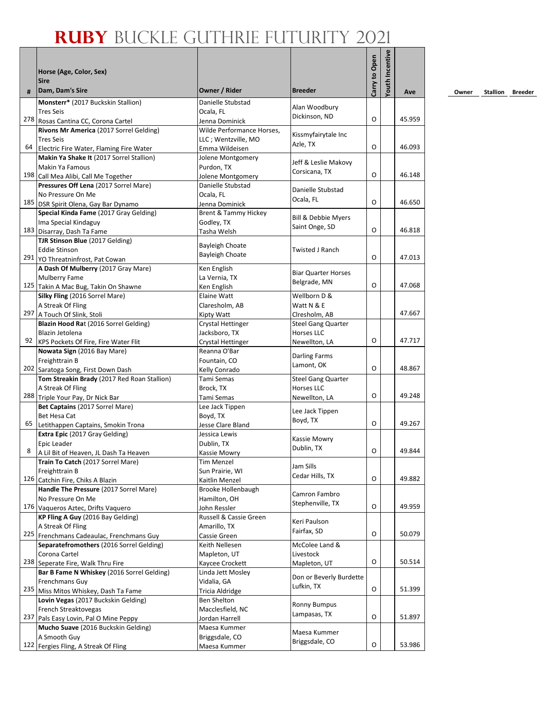| #  | Horse (Age, Color, Sex)<br><b>Sire</b><br>Dam, Dam's Sire        | Owner / Rider                  | <b>Breeder</b>                                 | Carry to Open | <b>/outh Incentive</b> |        |
|----|------------------------------------------------------------------|--------------------------------|------------------------------------------------|---------------|------------------------|--------|
|    |                                                                  |                                |                                                |               |                        | Ave    |
|    | Monsterr* (2017 Buckskin Stallion)                               | Danielle Stubstad              | Alan Woodbury                                  |               |                        |        |
|    | <b>Tres Seis</b><br>278 Rosas Cantina CC, Corona Cartel          | Ocala, FL<br>Jenna Dominick    | Dickinson, ND                                  | O             |                        | 45.959 |
|    | Rivons Mr America (2017 Sorrel Gelding)                          | Wilde Performance Horses,      |                                                |               |                        |        |
|    | <b>Tres Seis</b>                                                 | LLC ; Wentzville, MO           | Kissmyfairytale Inc                            |               |                        |        |
| 64 | Electric Fire Water, Flaming Fire Water                          | Emma Wildeisen                 | Azle, TX                                       | O             |                        | 46.093 |
|    | Makin Ya Shake It (2017 Sorrel Stallion)                         | Jolene Montgomery              |                                                |               |                        |        |
|    | Makin Ya Famous                                                  | Purdon, TX                     | Jeff & Leslie Makovy                           |               |                        |        |
|    | 198 Call Mea Alibi, Call Me Together                             | Jolene Montgomery              | Corsicana, TX                                  | O             |                        | 46.148 |
|    | Pressures Off Lena (2017 Sorrel Mare)                            | Danielle Stubstad              |                                                |               |                        |        |
|    | No Pressure On Me                                                | Ocala, FL                      | Danielle Stubstad                              |               |                        |        |
|    | 185 DSR Spirit Olena, Gay Bar Dynamo                             | Jenna Dominick                 | Ocala, FL                                      | O             |                        | 46.650 |
|    | Special Kinda Fame (2017 Gray Gelding)                           | Brent & Tammy Hickey           |                                                |               |                        |        |
|    | Ima Special Kindaguy                                             | Godley, TX                     | Bill & Debbie Myers                            |               |                        |        |
|    | 183 Disarray, Dash Ta Fame                                       | Tasha Welsh                    | Saint Onge, SD                                 | O             |                        | 46.818 |
|    | TJR Stinson Blue (2017 Gelding)                                  | <b>Bayleigh Choate</b>         |                                                |               |                        |        |
|    | <b>Eddie Stinson</b>                                             | <b>Bayleigh Choate</b>         | Twisted J Ranch                                |               |                        |        |
|    | 291 YO Threatninfrost, Pat Cowan                                 |                                |                                                | O             |                        | 47.013 |
|    | A Dash Of Mulberry (2017 Gray Mare)                              | Ken English                    | <b>Biar Quarter Horses</b>                     |               |                        |        |
|    | <b>Mulberry Fame</b>                                             | La Vernia, TX                  | Belgrade, MN                                   |               |                        |        |
|    | 125 Takin A Mac Bug, Takin On Shawne                             | Ken English                    |                                                | O             |                        | 47.068 |
|    | Silky Fling (2016 Sorrel Mare)                                   | Elaine Watt                    | Wellborn D &                                   |               |                        |        |
|    | A Streak Of Fling                                                | Claresholm, AB                 | Watt N & E                                     |               |                        |        |
|    | 297 A Touch Of Slink, Stoli                                      | Kipty Watt                     | Clresholm, AB                                  |               |                        | 47.667 |
|    | Blazin Hood Rat (2016 Sorrel Gelding)                            | Crystal Hettinger              | <b>Steel Gang Quarter</b>                      |               |                        |        |
|    | Blazin Jetolena                                                  | Jacksboro, TX                  | <b>Horses LLC</b>                              |               |                        | 47.717 |
|    | 92 KPS Pockets Of Fire, Fire Water Flit                          | Crystal Hettinger              | Newellton, LA                                  | O             |                        |        |
|    | Nowata Sign (2016 Bay Mare)                                      | Reanna O'Bar                   | Darling Farms                                  |               |                        |        |
|    | Freighttrain B                                                   | Fountain, CO                   | Lamont, OK                                     | O             |                        | 48.867 |
|    | 202 Saratoga Song, First Down Dash                               | Kelly Conrado<br>Tami Semas    |                                                |               |                        |        |
|    | Tom Streakin Brady (2017 Red Roan Stallion)<br>A Streak Of Fling | Brock, TX                      | <b>Steel Gang Quarter</b><br><b>Horses LLC</b> |               |                        |        |
|    | 288 Triple Your Pay, Dr Nick Bar                                 | Tami Semas                     | Newellton, LA                                  | O             |                        | 49.248 |
|    | Bet Captains (2017 Sorrel Mare)                                  | Lee Jack Tippen                |                                                |               |                        |        |
|    | Bet Hesa Cat                                                     | Boyd, TX                       | Lee Jack Tippen                                |               |                        |        |
| 65 | Letithappen Captains, Smokin Trona                               | Jesse Clare Bland              | Boyd, TX                                       | O             |                        | 49.267 |
|    | Extra Epic (2017 Gray Gelding)                                   | Jessica Lewis                  |                                                |               |                        |        |
|    | Epic Leader                                                      | Dublin, TX                     | Kassie Mowry                                   |               |                        |        |
| 8  | A Lil Bit of Heaven, JL Dash Ta Heaven                           | Kassie Mowry                   | Dublin, TX                                     | O             |                        | 49.844 |
|    | Train To Catch (2017 Sorrel Mare)                                | <b>Tim Menzel</b>              |                                                |               |                        |        |
|    | Freighttrain B                                                   | Sun Prairie, WI                | Jam Sills                                      |               |                        |        |
|    | 126 Catchin Fire, Chiks A Blazin                                 | Kaitlin Menzel                 | Cedar Hills, TX                                | O             |                        | 49.882 |
|    | Handle The Pressure (2017 Sorrel Mare)                           | Brooke Hollenbaugh             | Camron Fambro                                  |               |                        |        |
|    | No Pressure On Me                                                | Hamilton, OH                   | Stephenville, TX                               |               |                        |        |
|    | 176 Vaqueros Aztec, Drifts Vaquero                               | John Ressler                   |                                                | O             |                        | 49.959 |
|    | KP Fling A Guy (2016 Bay Gelding)                                | Russell & Cassie Green         | Keri Paulson                                   |               |                        |        |
|    | A Streak Of Fling                                                | Amarillo, TX                   | Fairfax, SD                                    |               |                        |        |
|    | 225 Frenchmans Cadeaulac, Frenchmans Guy                         | Cassie Green                   |                                                | O             |                        | 50.079 |
|    | Separatefromothers (2016 Sorrel Gelding)                         | Keith Nellesen                 | McColee Land &                                 |               |                        |        |
|    | Corona Cartel                                                    | Mapleton, UT                   | Livestock                                      |               |                        |        |
|    | 238 Seperate Fire, Walk Thru Fire                                | Kaycee Crockett                | Mapleton, UT                                   | O             |                        | 50.514 |
|    | Bar B Fame N Whiskey (2016 Sorrel Gelding)                       | Linda Jett Mosley              | Don or Beverly Burdette                        |               |                        |        |
|    | Frenchmans Guy                                                   | Vidalia, GA                    | Lufkin, TX                                     | O             |                        | 51.399 |
|    | 235 Miss Mitos Whiskey, Dash Ta Fame                             | Tricia Aldridge                |                                                |               |                        |        |
|    | Lovin Vegas (2017 Buckskin Gelding)                              | Ben Shelton                    | <b>Ronny Bumpus</b>                            |               |                        |        |
|    | French Streaktovegas<br>237 Pals Easy Lovin, Pal O Mine Peppy    | Macclesfield, NC               | Lampasas, TX                                   | O             |                        | 51.897 |
|    | Mucho Suave (2016 Buckskin Gelding)                              | Jordan Harrell<br>Maesa Kummer |                                                |               |                        |        |
|    | A Smooth Guy                                                     | Briggsdale, CO                 | Maesa Kummer                                   |               |                        |        |
|    | 122 Fergies Fling, A Streak Of Fling                             | Maesa Kummer                   | Briggsdale, CO                                 | O             |                        | 53.986 |
|    |                                                                  |                                |                                                |               |                        |        |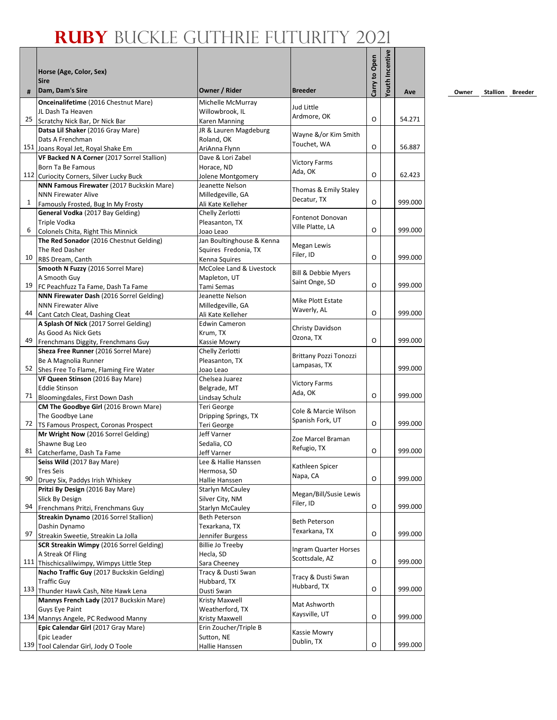|    | Horse (Age, Color, Sex)                                                       |                                        |                               | Carry to Open | <b>/outh Incentive</b> |         |
|----|-------------------------------------------------------------------------------|----------------------------------------|-------------------------------|---------------|------------------------|---------|
|    | <b>Sire</b>                                                                   | Owner / Rider                          | <b>Breeder</b>                |               |                        |         |
| #  | Dam, Dam's Sire<br>Onceinalifetime (2016 Chestnut Mare)                       | Michelle McMurray                      |                               |               |                        | Ave     |
|    | JL Dash Ta Heaven                                                             | Willowbrook. IL                        | Jud Little                    |               |                        |         |
| 25 | Scratchy Nick Bar, Dr Nick Bar                                                | Karen Manning                          | Ardmore, OK                   | O             |                        | 54.271  |
|    | Datsa Lil Shaker (2016 Gray Mare)                                             | JR & Lauren Magdeburg                  |                               |               |                        |         |
|    | Dats A Frenchman                                                              | Roland, OK                             | Wayne &/or Kim Smith          |               |                        |         |
|    | 151 Joans Royal Jet, Royal Shake Em                                           | AriAnna Flynn                          | Touchet, WA                   | O             |                        | 56.887  |
|    | VF Backed N A Corner (2017 Sorrel Stallion)                                   | Dave & Lori Zabel                      | <b>Victory Farms</b>          |               |                        |         |
|    | Born Ta Be Famous                                                             | Horace, ND                             | Ada, OK                       |               |                        |         |
|    | 112 Curiocity Corners, Silver Lucky Buck                                      | Jolene Montgomery                      |                               | O             |                        | 62.423  |
|    | NNN Famous Firewater (2017 Buckskin Mare)                                     | Jeanette Nelson                        | Thomas & Emily Staley         |               |                        |         |
|    | <b>NNN Firewater Alive</b>                                                    | Milledgeville, GA                      | Decatur, TX                   |               |                        |         |
| 1  | Famously Frosted, Bug In My Frosty                                            | Ali Kate Kelleher                      |                               | O             |                        | 999.000 |
|    | General Vodka (2017 Bay Gelding)                                              | Chelly Zerlotti                        | Fontenot Donovan              |               |                        |         |
| 6  | Triple Vodka                                                                  | Pleasanton, TX                         | Ville Platte, LA              | O             |                        | 999.000 |
|    | Colonels Chita, Right This Minnick<br>The Red Sonador (2016 Chestnut Gelding) | Joao Leao<br>Jan Boultinghouse & Kenna |                               |               |                        |         |
|    | The Red Dasher                                                                | Squires Fredonia, TX                   | Megan Lewis                   |               |                        |         |
| 10 | RBS Dream, Canth                                                              | Kenna Squires                          | Filer, ID                     | O             |                        | 999.000 |
|    | Smooth N Fuzzy (2016 Sorrel Mare)                                             | McColee Land & Livestock               |                               |               |                        |         |
|    | A Smooth Guy                                                                  | Mapleton, UT                           | Bill & Debbie Myers           |               |                        |         |
| 19 | FC Peachfuzz Ta Fame, Dash Ta Fame                                            | Tami Semas                             | Saint Onge, SD                | O             |                        | 999.000 |
|    | NNN Firewater Dash (2016 Sorrel Gelding)                                      | Jeanette Nelson                        |                               |               |                        |         |
|    | <b>NNN Firewater Alive</b>                                                    | Milledgeville, GA                      | Mike Plott Estate             |               |                        |         |
| 44 | Cant Catch Cleat, Dashing Cleat                                               | Ali Kate Kelleher                      | Waverly, AL                   | O             |                        | 999.000 |
|    | A Splash Of Nick (2017 Sorrel Gelding)                                        | <b>Edwin Cameron</b>                   | Christy Davidson              |               |                        |         |
|    | As Good As Nick Gets                                                          | Krum, TX                               | Ozona, TX                     |               |                        |         |
| 49 | Frenchmans Diggity, Frenchmans Guy                                            | Kassie Mowry                           |                               | O             |                        | 999.000 |
|    | Sheza Free Runner (2016 Sorrel Mare)                                          | Chelly Zerlotti                        | <b>Brittany Pozzi Tonozzi</b> |               |                        |         |
|    | Be A Magnolia Runner                                                          | Pleasanton, TX                         | Lampasas, TX                  |               |                        |         |
| 52 | Shes Free To Flame, Flaming Fire Water                                        | Joao Leao                              |                               |               |                        | 999.000 |
|    | VF Queen Stinson (2016 Bay Mare)                                              | Chelsea Juarez                         | <b>Victory Farms</b>          |               |                        |         |
| 71 | <b>Eddie Stinson</b><br>Bloomingdales, First Down Dash                        | Belgrade, MT<br>Lindsay Schulz         | Ada, OK                       | O             |                        | 999.000 |
|    | CM The Goodbye Girl (2016 Brown Mare)                                         | Teri George                            |                               |               |                        |         |
|    | The Goodbye Lane                                                              | Dripping Springs, TX                   | Cole & Marcie Wilson          |               |                        |         |
| 72 | TS Famous Prospect, Coronas Prospect                                          | Teri George                            | Spanish Fork, UT              | O             |                        | 999.000 |
|    | Mr Wright Now (2016 Sorrel Gelding)                                           | Jeff Varner                            |                               |               |                        |         |
|    | Shawne Bug Leo                                                                | Sedalia, CO                            | Zoe Marcel Braman             |               |                        |         |
| 81 | Catcherfame, Dash Ta Fame                                                     | Jeff Varner                            | Refugio, TX                   | O             |                        | 999.000 |
|    | Seiss Wild (2017 Bay Mare)                                                    | Lee & Hallie Hanssen                   | Kathleen Spicer               |               |                        |         |
|    | <b>Tres Seis</b>                                                              | Hermosa, SD                            | Napa, CA                      |               |                        |         |
| 90 | Druey Six, Paddys Irish Whiskey                                               | Hallie Hanssen                         |                               | O             |                        | 999.000 |
|    | Pritzi By Design (2016 Bay Mare)                                              | Starlyn McCauley                       | Megan/Bill/Susie Lewis        |               |                        |         |
| 94 | Slick By Design                                                               | Silver City, NM                        | Filer, ID                     | O             |                        | 999.000 |
|    | Frenchmans Pritzi, Frenchmans Guy<br>Streakin Dynamo (2016 Sorrel Stallion)   | Starlyn McCauley                       |                               |               |                        |         |
|    | Dashin Dynamo                                                                 | Beth Peterson<br>Texarkana, TX         | <b>Beth Peterson</b>          |               |                        |         |
| 97 | Streakin Sweetie, Streakin La Jolla                                           | Jennifer Burgess                       | Texarkana, TX                 | O             |                        | 999.000 |
|    | SCR Streakin Wimpy (2016 Sorrel Gelding)                                      | <b>Billie Jo Treeby</b>                |                               |               |                        |         |
|    | A Streak Of Fling                                                             | Hecla, SD                              | Ingram Quarter Horses         |               |                        |         |
|    | 111 Thischicsalilwimpy, Wimpys Little Step                                    | Sara Cheeney                           | Scottsdale, AZ                | O             |                        | 999.000 |
|    | Nacho Traffic Guy (2017 Buckskin Gelding)                                     | Tracy & Dusti Swan                     |                               |               |                        |         |
|    | <b>Traffic Guy</b>                                                            | Hubbard, TX                            | Tracy & Dusti Swan            |               |                        |         |
|    | 133 Thunder Hawk Cash, Nite Hawk Lena                                         | Dusti Swan                             | Hubbard, TX                   | O             |                        | 999.000 |
|    | Mannys French Lady (2017 Buckskin Mare)                                       | Kristy Maxwell                         | Mat Ashworth                  |               |                        |         |
|    | Guys Eye Paint                                                                | Weatherford, TX                        | Kaysville, UT                 |               |                        |         |
|    | 134 Mannys Angele, PC Redwood Manny                                           | Kristy Maxwell                         |                               | O             |                        | 999.000 |
|    | Epic Calendar Girl (2017 Gray Mare)                                           | Erin Zoucher/Triple B                  | Kassie Mowry                  |               |                        |         |
|    | Epic Leader                                                                   | Sutton, NE                             | Dublin, TX                    | O             |                        |         |
|    | 139 Tool Calendar Girl, Jody O Toole                                          | Hallie Hanssen                         |                               |               |                        | 999.000 |